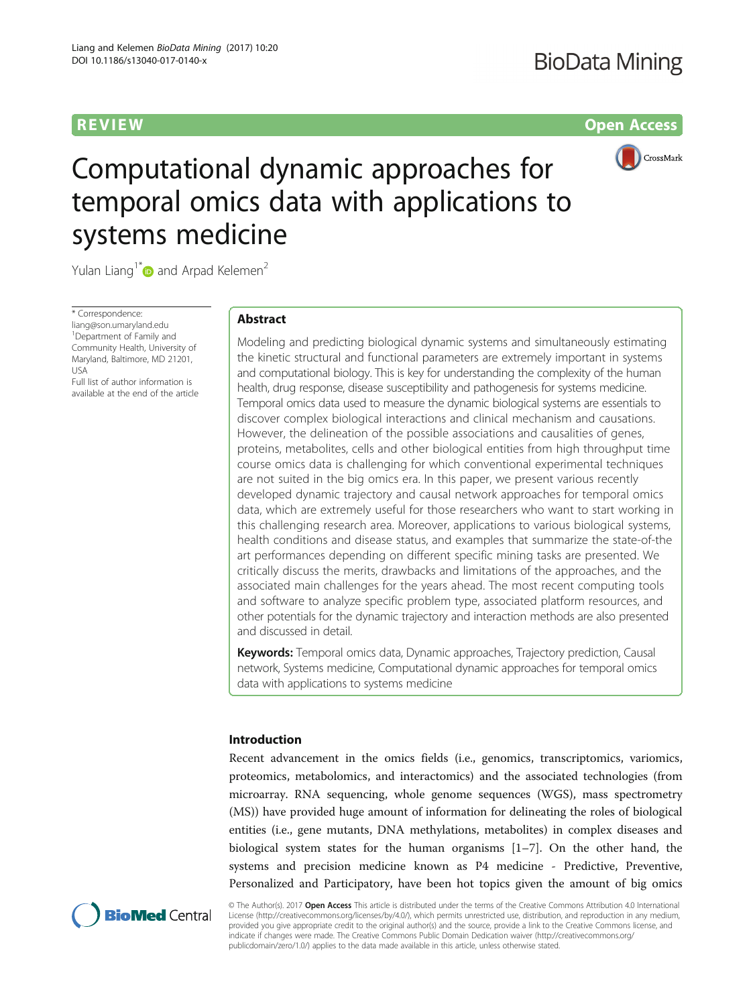# **REVIEW CONSULTANT CONTROL**



Computational dynamic approaches for temporal omics data with applications to systems medicine

Yulan Liang<sup>1[\\*](http://orcid.org/0000-0001-6792-488X)</sup> and Arpad Kelemen<sup>2</sup>

\* Correspondence: [liang@son.umaryland.edu](mailto:liang@son.umaryland.edu) <sup>1</sup>Department of Family and Community Health, University of Maryland, Baltimore, MD 21201, USA

Full list of author information is available at the end of the article

# Abstract

Modeling and predicting biological dynamic systems and simultaneously estimating the kinetic structural and functional parameters are extremely important in systems and computational biology. This is key for understanding the complexity of the human health, drug response, disease susceptibility and pathogenesis for systems medicine. Temporal omics data used to measure the dynamic biological systems are essentials to discover complex biological interactions and clinical mechanism and causations. However, the delineation of the possible associations and causalities of genes, proteins, metabolites, cells and other biological entities from high throughput time course omics data is challenging for which conventional experimental techniques are not suited in the big omics era. In this paper, we present various recently developed dynamic trajectory and causal network approaches for temporal omics data, which are extremely useful for those researchers who want to start working in this challenging research area. Moreover, applications to various biological systems, health conditions and disease status, and examples that summarize the state-of-the art performances depending on different specific mining tasks are presented. We critically discuss the merits, drawbacks and limitations of the approaches, and the associated main challenges for the years ahead. The most recent computing tools and software to analyze specific problem type, associated platform resources, and other potentials for the dynamic trajectory and interaction methods are also presented and discussed in detail.

**Keywords:** Temporal omics data, Dynamic approaches, Trajectory prediction, Causal network, Systems medicine, Computational dynamic approaches for temporal omics data with applications to systems medicine

## Introduction

Recent advancement in the omics fields (i.e., genomics, transcriptomics, variomics, proteomics, metabolomics, and interactomics) and the associated technologies (from microarray. RNA sequencing, whole genome sequences (WGS), mass spectrometry (MS)) have provided huge amount of information for delineating the roles of biological entities (i.e., gene mutants, DNA methylations, metabolites) in complex diseases and biological system states for the human organisms [[1](#page-15-0)–[7\]](#page-15-0). On the other hand, the systems and precision medicine known as P4 medicine - Predictive, Preventive, Personalized and Participatory, have been hot topics given the amount of big omics



© The Author(s). 2017 Open Access This article is distributed under the terms of the Creative Commons Attribution 4.0 International License ([http://creativecommons.org/licenses/by/4.0/\)](http://creativecommons.org/licenses/by/4.0/), which permits unrestricted use, distribution, and reproduction in any medium, provided you give appropriate credit to the original author(s) and the source, provide a link to the Creative Commons license, and indicate if changes were made. The Creative Commons Public Domain Dedication waiver ([http://creativecommons.org/](http://creativecommons.org/publicdomain/zero/1.0/) [publicdomain/zero/1.0/\)](http://creativecommons.org/publicdomain/zero/1.0/) applies to the data made available in this article, unless otherwise stated.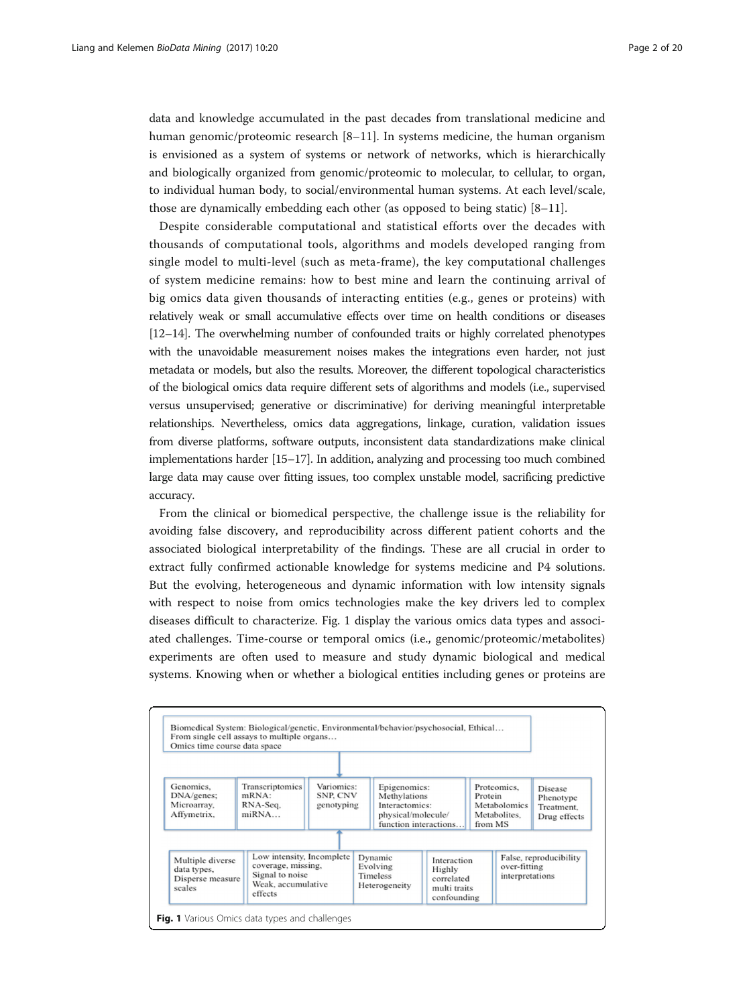data and knowledge accumulated in the past decades from translational medicine and human genomic/proteomic research [\[8](#page-15-0)–[11](#page-15-0)]. In systems medicine, the human organism is envisioned as a system of systems or network of networks, which is hierarchically and biologically organized from genomic/proteomic to molecular, to cellular, to organ, to individual human body, to social/environmental human systems. At each level/scale, those are dynamically embedding each other (as opposed to being static) [[8](#page-15-0)–[11](#page-15-0)].

Despite considerable computational and statistical efforts over the decades with thousands of computational tools, algorithms and models developed ranging from single model to multi-level (such as meta-frame), the key computational challenges of system medicine remains: how to best mine and learn the continuing arrival of big omics data given thousands of interacting entities (e.g., genes or proteins) with relatively weak or small accumulative effects over time on health conditions or diseases [[12](#page-15-0)–[14](#page-15-0)]. The overwhelming number of confounded traits or highly correlated phenotypes with the unavoidable measurement noises makes the integrations even harder, not just metadata or models, but also the results. Moreover, the different topological characteristics of the biological omics data require different sets of algorithms and models (i.e., supervised versus unsupervised; generative or discriminative) for deriving meaningful interpretable relationships. Nevertheless, omics data aggregations, linkage, curation, validation issues from diverse platforms, software outputs, inconsistent data standardizations make clinical implementations harder [\[15](#page-15-0)–[17\]](#page-15-0). In addition, analyzing and processing too much combined large data may cause over fitting issues, too complex unstable model, sacrificing predictive accuracy.

From the clinical or biomedical perspective, the challenge issue is the reliability for avoiding false discovery, and reproducibility across different patient cohorts and the associated biological interpretability of the findings. These are all crucial in order to extract fully confirmed actionable knowledge for systems medicine and P4 solutions. But the evolving, heterogeneous and dynamic information with low intensity signals with respect to noise from omics technologies make the key drivers led to complex diseases difficult to characterize. Fig. 1 display the various omics data types and associated challenges. Time-course or temporal omics (i.e., genomic/proteomic/metabolites) experiments are often used to measure and study dynamic biological and medical systems. Knowing when or whether a biological entities including genes or proteins are

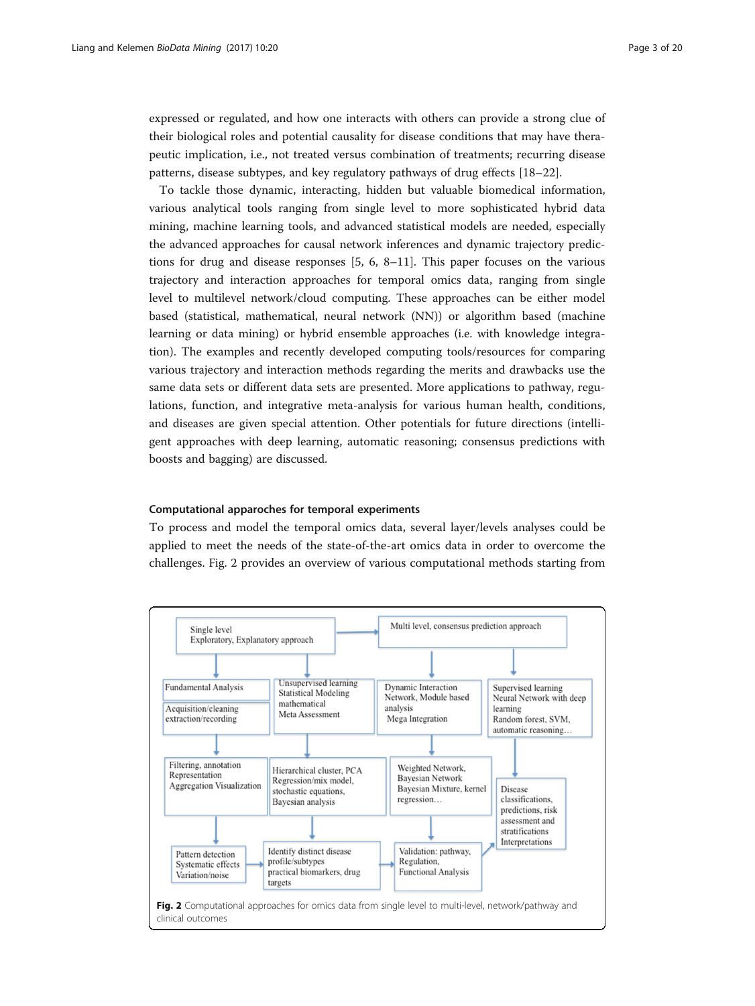expressed or regulated, and how one interacts with others can provide a strong clue of their biological roles and potential causality for disease conditions that may have therapeutic implication, i.e., not treated versus combination of treatments; recurring disease patterns, disease subtypes, and key regulatory pathways of drug effects [[18](#page-15-0)–[22](#page-15-0)].

To tackle those dynamic, interacting, hidden but valuable biomedical information, various analytical tools ranging from single level to more sophisticated hybrid data mining, machine learning tools, and advanced statistical models are needed, especially the advanced approaches for causal network inferences and dynamic trajectory predictions for drug and disease responses [\[5](#page-15-0), [6](#page-15-0), [8](#page-15-0)–[11](#page-15-0)]. This paper focuses on the various trajectory and interaction approaches for temporal omics data, ranging from single level to multilevel network/cloud computing. These approaches can be either model based (statistical, mathematical, neural network (NN)) or algorithm based (machine learning or data mining) or hybrid ensemble approaches (i.e. with knowledge integration). The examples and recently developed computing tools/resources for comparing various trajectory and interaction methods regarding the merits and drawbacks use the same data sets or different data sets are presented. More applications to pathway, regulations, function, and integrative meta-analysis for various human health, conditions, and diseases are given special attention. Other potentials for future directions (intelligent approaches with deep learning, automatic reasoning; consensus predictions with boosts and bagging) are discussed.

#### Computational apparoches for temporal experiments

To process and model the temporal omics data, several layer/levels analyses could be applied to meet the needs of the state-of-the-art omics data in order to overcome the challenges. Fig. 2 provides an overview of various computational methods starting from

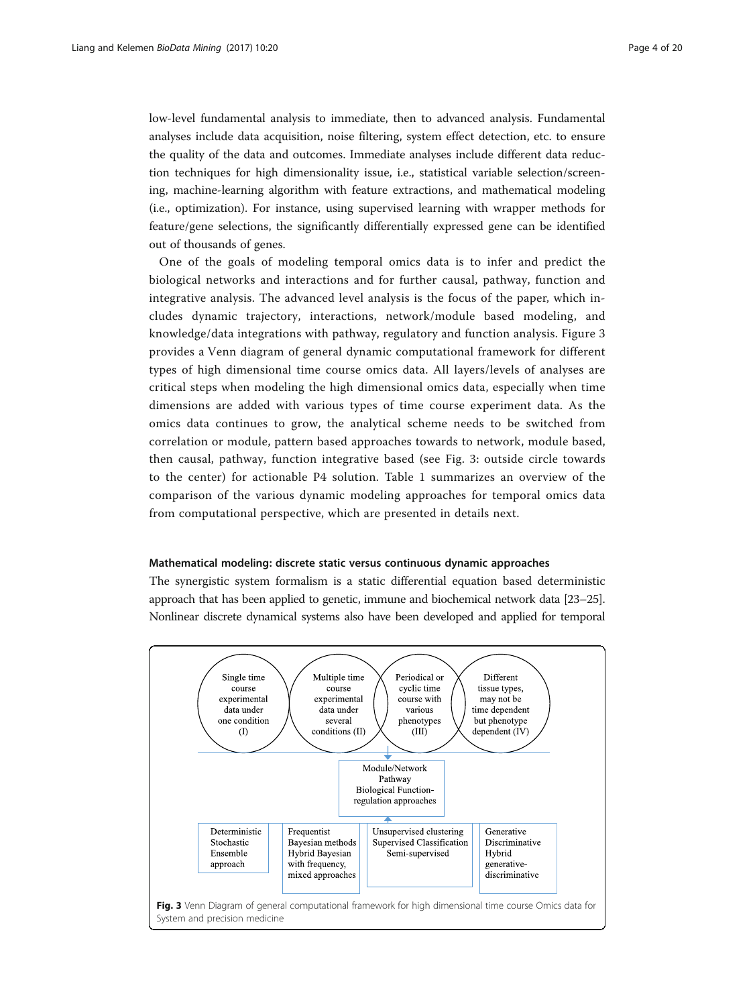<span id="page-3-0"></span>low-level fundamental analysis to immediate, then to advanced analysis. Fundamental analyses include data acquisition, noise filtering, system effect detection, etc. to ensure the quality of the data and outcomes. Immediate analyses include different data reduction techniques for high dimensionality issue, i.e., statistical variable selection/screening, machine-learning algorithm with feature extractions, and mathematical modeling (i.e., optimization). For instance, using supervised learning with wrapper methods for feature/gene selections, the significantly differentially expressed gene can be identified out of thousands of genes.

One of the goals of modeling temporal omics data is to infer and predict the biological networks and interactions and for further causal, pathway, function and integrative analysis. The advanced level analysis is the focus of the paper, which includes dynamic trajectory, interactions, network/module based modeling, and knowledge/data integrations with pathway, regulatory and function analysis. Figure 3 provides a Venn diagram of general dynamic computational framework for different types of high dimensional time course omics data. All layers/levels of analyses are critical steps when modeling the high dimensional omics data, especially when time dimensions are added with various types of time course experiment data. As the omics data continues to grow, the analytical scheme needs to be switched from correlation or module, pattern based approaches towards to network, module based, then causal, pathway, function integrative based (see Fig. 3: outside circle towards to the center) for actionable P4 solution. Table [1](#page-4-0) summarizes an overview of the comparison of the various dynamic modeling approaches for temporal omics data from computational perspective, which are presented in details next.

## Mathematical modeling: discrete static versus continuous dynamic approaches

The synergistic system formalism is a static differential equation based deterministic approach that has been applied to genetic, immune and biochemical network data [\[23](#page-15-0)–[25](#page-15-0)]. Nonlinear discrete dynamical systems also have been developed and applied for temporal

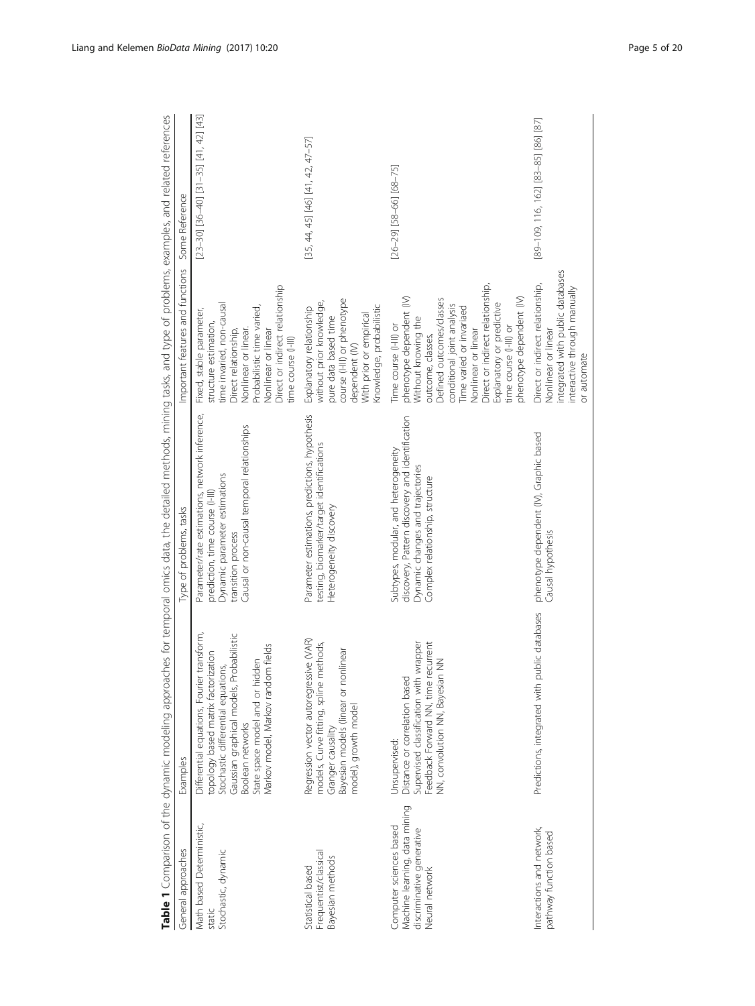<span id="page-4-0"></span>

|                                                                                                         |                                                                                                                                                                                                                                                                       | Table 1 Comparison of the dynamic modeling approaches for temporal omics data, the detailed methods, mining tasks, and type of problems, examples, and related references               |                                                                                                                                                                                                                                                                                                                                    |                                       |
|---------------------------------------------------------------------------------------------------------|-----------------------------------------------------------------------------------------------------------------------------------------------------------------------------------------------------------------------------------------------------------------------|-----------------------------------------------------------------------------------------------------------------------------------------------------------------------------------------|------------------------------------------------------------------------------------------------------------------------------------------------------------------------------------------------------------------------------------------------------------------------------------------------------------------------------------|---------------------------------------|
| General approaches                                                                                      | Examples                                                                                                                                                                                                                                                              | Type of problems, tasks                                                                                                                                                                 | Important features and functions                                                                                                                                                                                                                                                                                                   | Some Reference                        |
| Math based Deterministic,<br>Stochastic, dynamic<br>static                                              | ansform,<br>Gaussian graphical models, Probabilistic<br>State space model and or hidden<br>Markov model, Markov random fields<br>topology based matrix factorization<br>Stochastic differential equations,<br>Differential equations, Fourier tra<br>Boolean networks | Parameter/rate estimations, network inference,<br>Causal or non-causal temporal relationships<br>Dynamic parameter estimations<br>prediction, time course (I-III)<br>transition process | Direct or indirect relationship<br>time invaried, non-causal<br>Probabilistic time varied<br>Fixed, stable parameter,<br>structure estimation,<br>Nonlinear or linear.<br>Direct relationship,<br>Nonlinear or linear<br>time course (I-III)                                                                                       | [23–30] [36–40] [31–35] [41, 42] [43] |
| Frequentist/classical<br>Bayesian methods<br>Statistical based                                          | Regression vector autoregressive (VAR)<br>models, Curve fitting, spline methods,<br>Bayesian models (linear or nonlinear<br>model), growth model<br>Granger causality                                                                                                 | Parameter estimations, predictions, hypothesis<br>testing, biomarker/target identifications<br>Heterogeneity discovery                                                                  | course (I-III) or phenotype<br>without prior knowledge,<br>Knowledge, probabilistic<br>Explanatory relationship<br>With prior or empirical<br>pure data based time<br>dependent (IV)                                                                                                                                               | [35, 44, 45] [46] [41, 42, 47–57]     |
| Machine learning, data mining<br>Computer sciences based<br>discriminative generative<br>Neural network | Supervised classification with wrapper<br>Feedback Forward NN, time recurrent<br>NN, convolution NN, Bayesian NN<br>Distance or correlation based<br>Unsupervised:                                                                                                    | discovery, Pattern discovery and identification<br>Subtypes, modular, and heterogeneity<br>Dynamic changes and trajectories<br>Complex relationship, structure                          | Direct or indirect relationship,<br>phenotype dependent (IV)<br>phenotype dependent (IV)<br>Defined outcomes/classes<br>Explanatory or predictive<br>conditional joint analysis<br>Time varied or invariaed<br>Without knowing the<br>Time course (I-III) or<br>time course (I-III) or<br>Nonlinear or linear<br>outcome, classes, | $[26-29]$ [58-66] [68-75]             |
| Interactions and network,<br>pathway function based                                                     | Predictions, integrated with public databases                                                                                                                                                                                                                         | phenotype dependent (IV), Graphic based<br>Causal hypothesis                                                                                                                            | integrated with public databases<br>Direct or indirect relationship,<br>interactive through manually<br>Nonlinear or linear<br>or automate                                                                                                                                                                                         | [89-109, 116, 162] [83-85] [86] [87]  |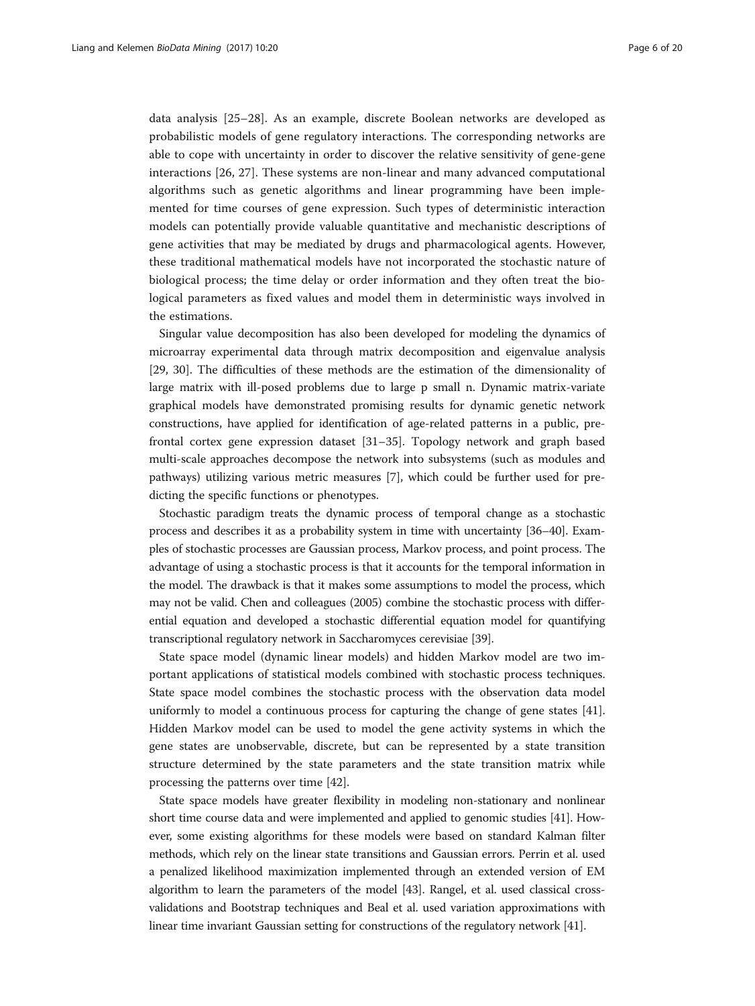data analysis [[25](#page-15-0)–[28\]](#page-15-0). As an example, discrete Boolean networks are developed as probabilistic models of gene regulatory interactions. The corresponding networks are able to cope with uncertainty in order to discover the relative sensitivity of gene-gene interactions [[26](#page-15-0), [27](#page-15-0)]. These systems are non-linear and many advanced computational algorithms such as genetic algorithms and linear programming have been implemented for time courses of gene expression. Such types of deterministic interaction models can potentially provide valuable quantitative and mechanistic descriptions of gene activities that may be mediated by drugs and pharmacological agents. However, these traditional mathematical models have not incorporated the stochastic nature of biological process; the time delay or order information and they often treat the biological parameters as fixed values and model them in deterministic ways involved in the estimations.

Singular value decomposition has also been developed for modeling the dynamics of microarray experimental data through matrix decomposition and eigenvalue analysis [[29, 30](#page-15-0)]. The difficulties of these methods are the estimation of the dimensionality of large matrix with ill-posed problems due to large p small n. Dynamic matrix-variate graphical models have demonstrated promising results for dynamic genetic network constructions, have applied for identification of age-related patterns in a public, prefrontal cortex gene expression dataset [[31](#page-15-0)–[35](#page-15-0)]. Topology network and graph based multi-scale approaches decompose the network into subsystems (such as modules and pathways) utilizing various metric measures [[7\]](#page-15-0), which could be further used for predicting the specific functions or phenotypes.

Stochastic paradigm treats the dynamic process of temporal change as a stochastic process and describes it as a probability system in time with uncertainty [\[36](#page-15-0)–[40](#page-16-0)]. Examples of stochastic processes are Gaussian process, Markov process, and point process. The advantage of using a stochastic process is that it accounts for the temporal information in the model. The drawback is that it makes some assumptions to model the process, which may not be valid. Chen and colleagues (2005) combine the stochastic process with differential equation and developed a stochastic differential equation model for quantifying transcriptional regulatory network in Saccharomyces cerevisiae [\[39\]](#page-16-0).

State space model (dynamic linear models) and hidden Markov model are two important applications of statistical models combined with stochastic process techniques. State space model combines the stochastic process with the observation data model uniformly to model a continuous process for capturing the change of gene states [[41](#page-16-0)]. Hidden Markov model can be used to model the gene activity systems in which the gene states are unobservable, discrete, but can be represented by a state transition structure determined by the state parameters and the state transition matrix while processing the patterns over time [[42](#page-16-0)].

State space models have greater flexibility in modeling non-stationary and nonlinear short time course data and were implemented and applied to genomic studies [\[41\]](#page-16-0). However, some existing algorithms for these models were based on standard Kalman filter methods, which rely on the linear state transitions and Gaussian errors. Perrin et al. used a penalized likelihood maximization implemented through an extended version of EM algorithm to learn the parameters of the model [\[43](#page-16-0)]. Rangel, et al. used classical crossvalidations and Bootstrap techniques and Beal et al. used variation approximations with linear time invariant Gaussian setting for constructions of the regulatory network [[41](#page-16-0)].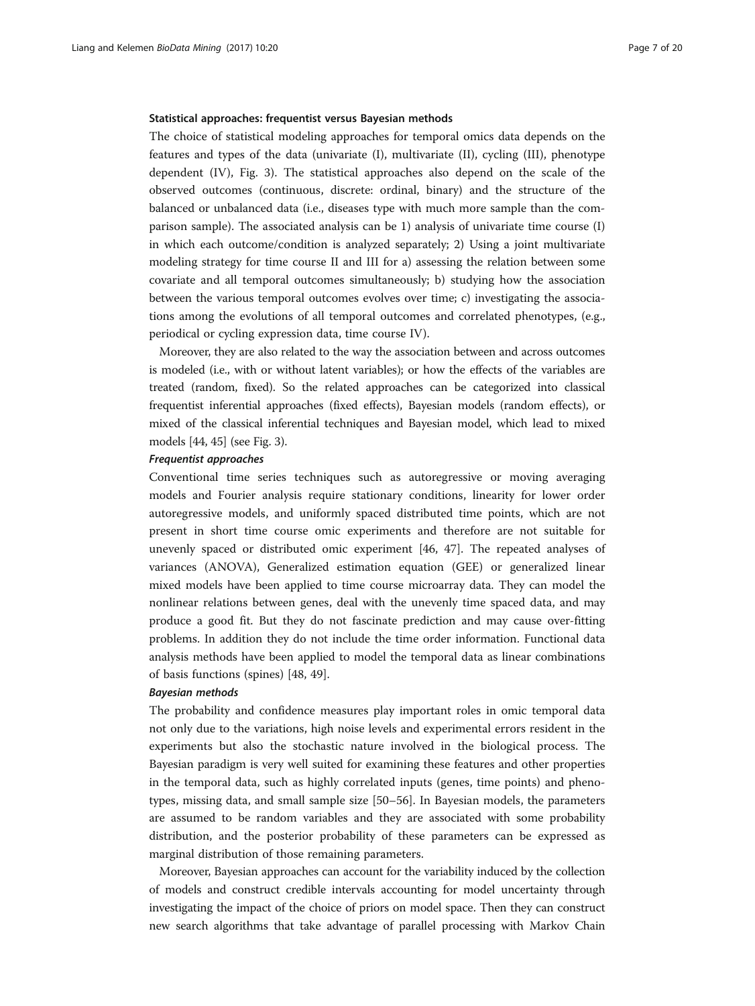### Statistical approaches: frequentist versus Bayesian methods

The choice of statistical modeling approaches for temporal omics data depends on the features and types of the data (univariate (I), multivariate (II), cycling (III), phenotype dependent (IV), Fig. [3\)](#page-3-0). The statistical approaches also depend on the scale of the observed outcomes (continuous, discrete: ordinal, binary) and the structure of the balanced or unbalanced data (i.e., diseases type with much more sample than the comparison sample). The associated analysis can be 1) analysis of univariate time course (I) in which each outcome/condition is analyzed separately; 2) Using a joint multivariate modeling strategy for time course II and III for a) assessing the relation between some covariate and all temporal outcomes simultaneously; b) studying how the association between the various temporal outcomes evolves over time; c) investigating the associations among the evolutions of all temporal outcomes and correlated phenotypes, (e.g., periodical or cycling expression data, time course IV).

Moreover, they are also related to the way the association between and across outcomes is modeled (i.e., with or without latent variables); or how the effects of the variables are treated (random, fixed). So the related approaches can be categorized into classical frequentist inferential approaches (fixed effects), Bayesian models (random effects), or mixed of the classical inferential techniques and Bayesian model, which lead to mixed models [\[44, 45](#page-16-0)] (see Fig. [3](#page-3-0)).

## Frequentist approaches

Conventional time series techniques such as autoregressive or moving averaging models and Fourier analysis require stationary conditions, linearity for lower order autoregressive models, and uniformly spaced distributed time points, which are not present in short time course omic experiments and therefore are not suitable for unevenly spaced or distributed omic experiment [[46, 47](#page-16-0)]. The repeated analyses of variances (ANOVA), Generalized estimation equation (GEE) or generalized linear mixed models have been applied to time course microarray data. They can model the nonlinear relations between genes, deal with the unevenly time spaced data, and may produce a good fit. But they do not fascinate prediction and may cause over-fitting problems. In addition they do not include the time order information. Functional data analysis methods have been applied to model the temporal data as linear combinations of basis functions (spines) [\[48, 49\]](#page-16-0).

#### Bayesian methods

The probability and confidence measures play important roles in omic temporal data not only due to the variations, high noise levels and experimental errors resident in the experiments but also the stochastic nature involved in the biological process. The Bayesian paradigm is very well suited for examining these features and other properties in the temporal data, such as highly correlated inputs (genes, time points) and phenotypes, missing data, and small sample size [\[50](#page-16-0)–[56\]](#page-16-0). In Bayesian models, the parameters are assumed to be random variables and they are associated with some probability distribution, and the posterior probability of these parameters can be expressed as marginal distribution of those remaining parameters.

Moreover, Bayesian approaches can account for the variability induced by the collection of models and construct credible intervals accounting for model uncertainty through investigating the impact of the choice of priors on model space. Then they can construct new search algorithms that take advantage of parallel processing with Markov Chain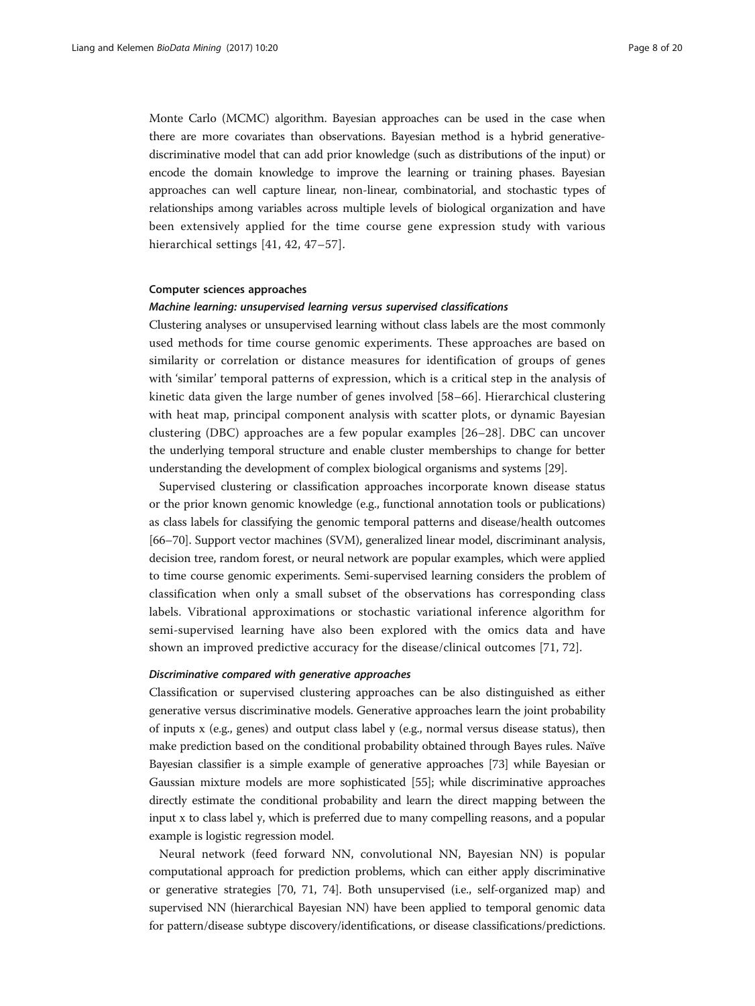Monte Carlo (MCMC) algorithm. Bayesian approaches can be used in the case when there are more covariates than observations. Bayesian method is a hybrid generativediscriminative model that can add prior knowledge (such as distributions of the input) or encode the domain knowledge to improve the learning or training phases. Bayesian approaches can well capture linear, non-linear, combinatorial, and stochastic types of relationships among variables across multiple levels of biological organization and have been extensively applied for the time course gene expression study with various hierarchical settings [\[41, 42](#page-16-0), [47](#page-16-0)–[57\]](#page-16-0).

#### Computer sciences approaches

#### Machine learning: unsupervised learning versus supervised classifications

Clustering analyses or unsupervised learning without class labels are the most commonly used methods for time course genomic experiments. These approaches are based on similarity or correlation or distance measures for identification of groups of genes with 'similar' temporal patterns of expression, which is a critical step in the analysis of kinetic data given the large number of genes involved [\[58](#page-16-0)–[66](#page-16-0)]. Hierarchical clustering with heat map, principal component analysis with scatter plots, or dynamic Bayesian clustering (DBC) approaches are a few popular examples [[26](#page-15-0)–[28](#page-15-0)]. DBC can uncover the underlying temporal structure and enable cluster memberships to change for better understanding the development of complex biological organisms and systems [[29](#page-15-0)].

Supervised clustering or classification approaches incorporate known disease status or the prior known genomic knowledge (e.g., functional annotation tools or publications) as class labels for classifying the genomic temporal patterns and disease/health outcomes [[66](#page-16-0)–[70\]](#page-16-0). Support vector machines (SVM), generalized linear model, discriminant analysis, decision tree, random forest, or neural network are popular examples, which were applied to time course genomic experiments. Semi-supervised learning considers the problem of classification when only a small subset of the observations has corresponding class labels. Vibrational approximations or stochastic variational inference algorithm for semi-supervised learning have also been explored with the omics data and have shown an improved predictive accuracy for the disease/clinical outcomes [[71, 72](#page-16-0)].

### Discriminative compared with generative approaches

Classification or supervised clustering approaches can be also distinguished as either generative versus discriminative models. Generative approaches learn the joint probability of inputs x (e.g., genes) and output class label y (e.g., normal versus disease status), then make prediction based on the conditional probability obtained through Bayes rules. Naïve Bayesian classifier is a simple example of generative approaches [[73](#page-16-0)] while Bayesian or Gaussian mixture models are more sophisticated [[55](#page-16-0)]; while discriminative approaches directly estimate the conditional probability and learn the direct mapping between the input x to class label y, which is preferred due to many compelling reasons, and a popular example is logistic regression model.

Neural network (feed forward NN, convolutional NN, Bayesian NN) is popular computational approach for prediction problems, which can either apply discriminative or generative strategies [[70](#page-16-0), [71, 74](#page-16-0)]. Both unsupervised (i.e., self-organized map) and supervised NN (hierarchical Bayesian NN) have been applied to temporal genomic data for pattern/disease subtype discovery/identifications, or disease classifications/predictions.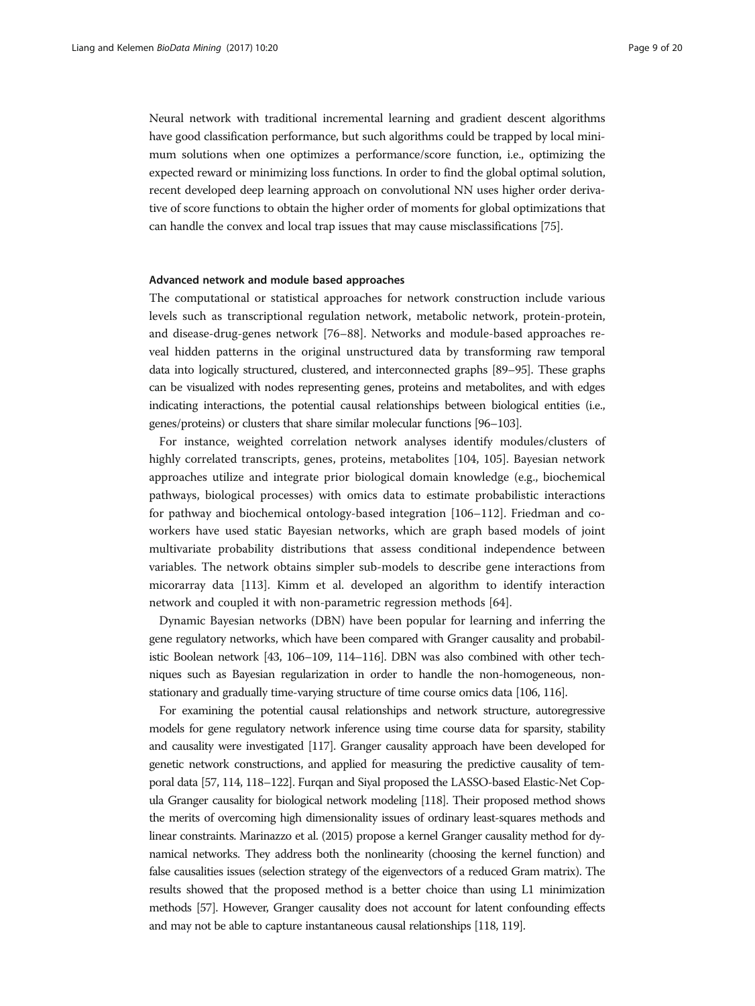Neural network with traditional incremental learning and gradient descent algorithms have good classification performance, but such algorithms could be trapped by local minimum solutions when one optimizes a performance/score function, i.e., optimizing the expected reward or minimizing loss functions. In order to find the global optimal solution, recent developed deep learning approach on convolutional NN uses higher order derivative of score functions to obtain the higher order of moments for global optimizations that can handle the convex and local trap issues that may cause misclassifications [\[75](#page-17-0)].

### Advanced network and module based approaches

The computational or statistical approaches for network construction include various levels such as transcriptional regulation network, metabolic network, protein-protein, and disease-drug-genes network [\[76](#page-17-0)–[88\]](#page-17-0). Networks and module-based approaches reveal hidden patterns in the original unstructured data by transforming raw temporal data into logically structured, clustered, and interconnected graphs [\[89](#page-17-0)–[95\]](#page-17-0). These graphs can be visualized with nodes representing genes, proteins and metabolites, and with edges indicating interactions, the potential causal relationships between biological entities (i.e., genes/proteins) or clusters that share similar molecular functions [\[96](#page-17-0)–[103\]](#page-17-0).

For instance, weighted correlation network analyses identify modules/clusters of highly correlated transcripts, genes, proteins, metabolites [\[104, 105](#page-17-0)]. Bayesian network approaches utilize and integrate prior biological domain knowledge (e.g., biochemical pathways, biological processes) with omics data to estimate probabilistic interactions for pathway and biochemical ontology-based integration [[106](#page-17-0)–[112](#page-18-0)]. Friedman and coworkers have used static Bayesian networks, which are graph based models of joint multivariate probability distributions that assess conditional independence between variables. The network obtains simpler sub-models to describe gene interactions from micorarray data [\[113\]](#page-18-0). Kimm et al. developed an algorithm to identify interaction network and coupled it with non-parametric regression methods [\[64\]](#page-16-0).

Dynamic Bayesian networks (DBN) have been popular for learning and inferring the gene regulatory networks, which have been compared with Granger causality and probabilistic Boolean network [\[43](#page-16-0), [106](#page-17-0)–[109](#page-17-0), [114](#page-18-0)–[116](#page-18-0)]. DBN was also combined with other techniques such as Bayesian regularization in order to handle the non-homogeneous, nonstationary and gradually time-varying structure of time course omics data [\[106](#page-17-0), [116\]](#page-18-0).

For examining the potential causal relationships and network structure, autoregressive models for gene regulatory network inference using time course data for sparsity, stability and causality were investigated [\[117](#page-18-0)]. Granger causality approach have been developed for genetic network constructions, and applied for measuring the predictive causality of temporal data [[57,](#page-16-0) [114, 118](#page-18-0)–[122\]](#page-18-0). Furqan and Siyal proposed the LASSO-based Elastic-Net Copula Granger causality for biological network modeling [\[118](#page-18-0)]. Their proposed method shows the merits of overcoming high dimensionality issues of ordinary least-squares methods and linear constraints. Marinazzo et al. (2015) propose a kernel Granger causality method for dynamical networks. They address both the nonlinearity (choosing the kernel function) and false causalities issues (selection strategy of the eigenvectors of a reduced Gram matrix). The results showed that the proposed method is a better choice than using L1 minimization methods [\[57](#page-16-0)]. However, Granger causality does not account for latent confounding effects and may not be able to capture instantaneous causal relationships [\[118](#page-18-0), [119\]](#page-18-0).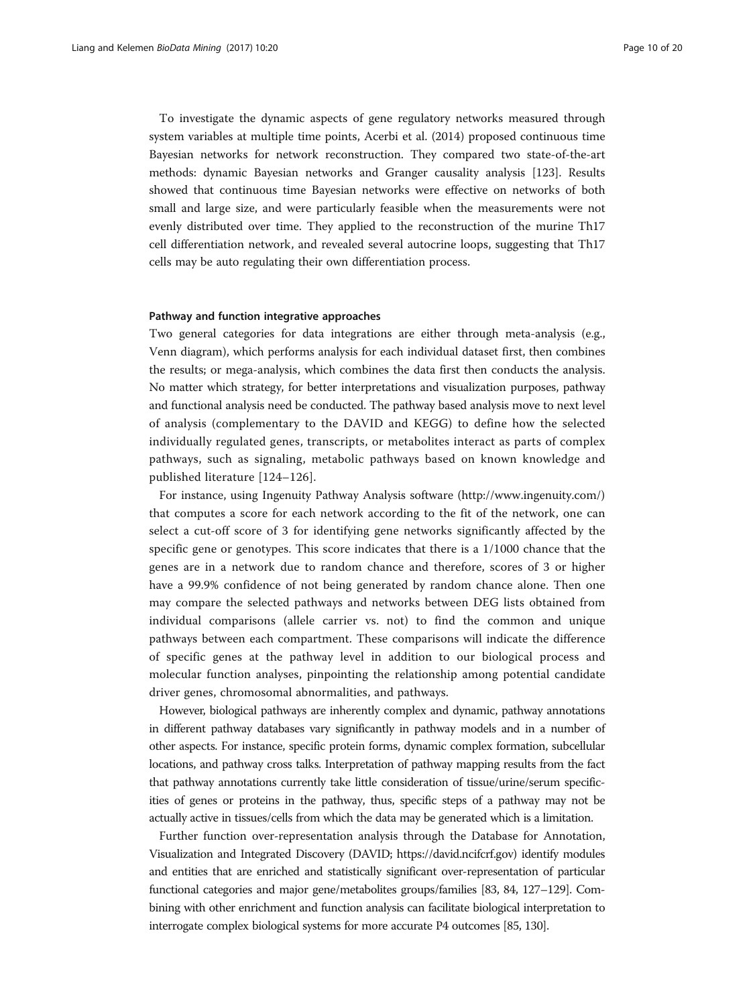To investigate the dynamic aspects of gene regulatory networks measured through system variables at multiple time points, Acerbi et al. (2014) proposed continuous time Bayesian networks for network reconstruction. They compared two state-of-the-art methods: dynamic Bayesian networks and Granger causality analysis [\[123\]](#page-18-0). Results showed that continuous time Bayesian networks were effective on networks of both small and large size, and were particularly feasible when the measurements were not evenly distributed over time. They applied to the reconstruction of the murine Th17 cell differentiation network, and revealed several autocrine loops, suggesting that Th17 cells may be auto regulating their own differentiation process.

#### Pathway and function integrative approaches

Two general categories for data integrations are either through meta-analysis (e.g., Venn diagram), which performs analysis for each individual dataset first, then combines the results; or mega-analysis, which combines the data first then conducts the analysis. No matter which strategy, for better interpretations and visualization purposes, pathway and functional analysis need be conducted. The pathway based analysis move to next level of analysis (complementary to the DAVID and KEGG) to define how the selected individually regulated genes, transcripts, or metabolites interact as parts of complex pathways, such as signaling, metabolic pathways based on known knowledge and published literature [\[124](#page-18-0)–[126\]](#page-18-0).

For instance, using Ingenuity Pathway Analysis software [\(http://www.ingenuity.com/](http://www.ingenuity.com/)) that computes a score for each network according to the fit of the network, one can select a cut-off score of 3 for identifying gene networks significantly affected by the specific gene or genotypes. This score indicates that there is a 1/1000 chance that the genes are in a network due to random chance and therefore, scores of 3 or higher have a 99.9% confidence of not being generated by random chance alone. Then one may compare the selected pathways and networks between DEG lists obtained from individual comparisons (allele carrier vs. not) to find the common and unique pathways between each compartment. These comparisons will indicate the difference of specific genes at the pathway level in addition to our biological process and molecular function analyses, pinpointing the relationship among potential candidate driver genes, chromosomal abnormalities, and pathways.

However, biological pathways are inherently complex and dynamic, pathway annotations in different pathway databases vary significantly in pathway models and in a number of other aspects. For instance, specific protein forms, dynamic complex formation, subcellular locations, and pathway cross talks. Interpretation of pathway mapping results from the fact that pathway annotations currently take little consideration of tissue/urine/serum specificities of genes or proteins in the pathway, thus, specific steps of a pathway may not be actually active in tissues/cells from which the data may be generated which is a limitation.

Further function over-representation analysis through the Database for Annotation, Visualization and Integrated Discovery (DAVID; <https://david.ncifcrf.gov>) identify modules and entities that are enriched and statistically significant over-representation of particular functional categories and major gene/metabolites groups/families [[83](#page-17-0), [84,](#page-17-0) [127](#page-18-0)–[129](#page-18-0)]. Combining with other enrichment and function analysis can facilitate biological interpretation to interrogate complex biological systems for more accurate P4 outcomes [\[85,](#page-17-0) [130](#page-18-0)].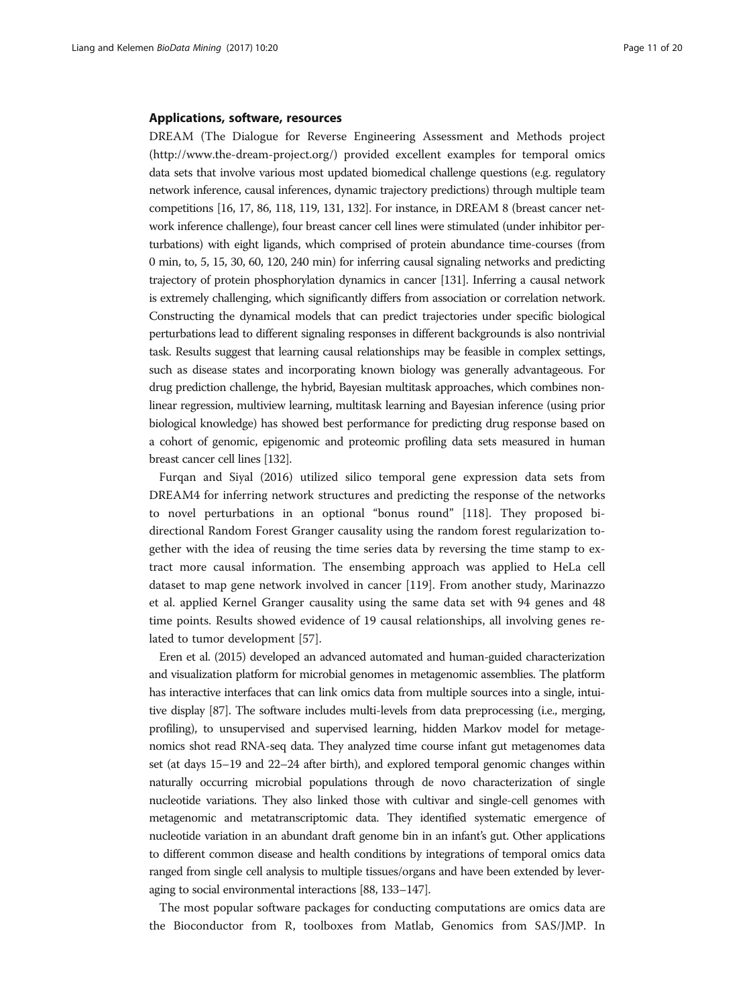#### Applications, software, resources

DREAM (The Dialogue for Reverse Engineering Assessment and Methods project (<http://www.the-dream-project.org/>) provided excellent examples for temporal omics data sets that involve various most updated biomedical challenge questions (e.g. regulatory network inference, causal inferences, dynamic trajectory predictions) through multiple team competitions [\[16, 17,](#page-15-0) [86](#page-17-0), [118](#page-18-0), [119](#page-18-0), [131](#page-18-0), [132](#page-18-0)]. For instance, in DREAM 8 (breast cancer network inference challenge), four breast cancer cell lines were stimulated (under inhibitor perturbations) with eight ligands, which comprised of protein abundance time-courses (from 0 min, to, 5, 15, 30, 60, 120, 240 min) for inferring causal signaling networks and predicting trajectory of protein phosphorylation dynamics in cancer [\[131\]](#page-18-0). Inferring a causal network is extremely challenging, which significantly differs from association or correlation network. Constructing the dynamical models that can predict trajectories under specific biological perturbations lead to different signaling responses in different backgrounds is also nontrivial task. Results suggest that learning causal relationships may be feasible in complex settings, such as disease states and incorporating known biology was generally advantageous. For drug prediction challenge, the hybrid, Bayesian multitask approaches, which combines nonlinear regression, multiview learning, multitask learning and Bayesian inference (using prior biological knowledge) has showed best performance for predicting drug response based on a cohort of genomic, epigenomic and proteomic profiling data sets measured in human breast cancer cell lines [\[132](#page-18-0)].

Furqan and Siyal (2016) utilized silico temporal gene expression data sets from DREAM4 for inferring network structures and predicting the response of the networks to novel perturbations in an optional "bonus round" [[118\]](#page-18-0). They proposed bidirectional Random Forest Granger causality using the random forest regularization together with the idea of reusing the time series data by reversing the time stamp to extract more causal information. The ensembing approach was applied to HeLa cell dataset to map gene network involved in cancer [\[119](#page-18-0)]. From another study, Marinazzo et al. applied Kernel Granger causality using the same data set with 94 genes and 48 time points. Results showed evidence of 19 causal relationships, all involving genes related to tumor development [[57\]](#page-16-0).

Eren et al. (2015) developed an advanced automated and human-guided characterization and visualization platform for microbial genomes in metagenomic assemblies. The platform has interactive interfaces that can link omics data from multiple sources into a single, intuitive display [\[87](#page-17-0)]. The software includes multi-levels from data preprocessing (i.e., merging, profiling), to unsupervised and supervised learning, hidden Markov model for metagenomics shot read RNA-seq data. They analyzed time course infant gut metagenomes data set (at days 15–19 and 22–24 after birth), and explored temporal genomic changes within naturally occurring microbial populations through de novo characterization of single nucleotide variations. They also linked those with cultivar and single-cell genomes with metagenomic and metatranscriptomic data. They identified systematic emergence of nucleotide variation in an abundant draft genome bin in an infant's gut. Other applications to different common disease and health conditions by integrations of temporal omics data ranged from single cell analysis to multiple tissues/organs and have been extended by leveraging to social environmental interactions [[88](#page-17-0), [133](#page-18-0)–[147\]](#page-19-0).

The most popular software packages for conducting computations are omics data are the Bioconductor from R, toolboxes from Matlab, Genomics from SAS/JMP. In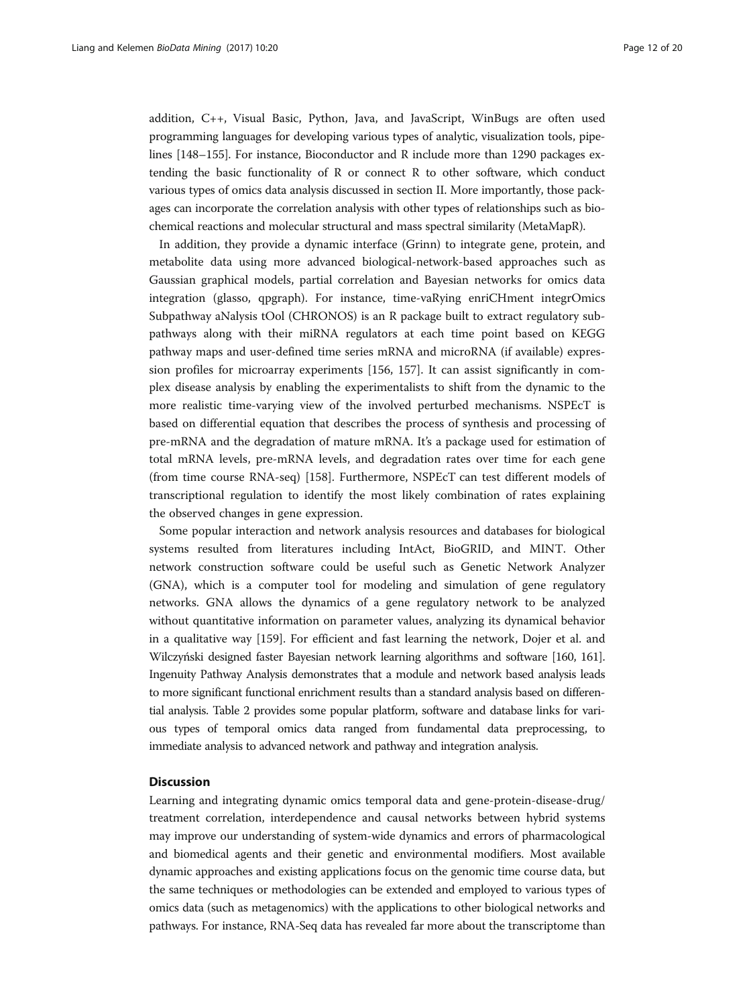addition, C++, Visual Basic, Python, Java, and JavaScript, WinBugs are often used programming languages for developing various types of analytic, visualization tools, pipelines [\[148](#page-19-0)–[155](#page-19-0)]. For instance, Bioconductor and R include more than 1290 packages extending the basic functionality of R or connect R to other software, which conduct various types of omics data analysis discussed in section II. More importantly, those packages can incorporate the correlation analysis with other types of relationships such as biochemical reactions and molecular structural and mass spectral similarity (MetaMapR).

In addition, they provide a dynamic interface (Grinn) to integrate gene, protein, and metabolite data using more advanced biological-network-based approaches such as Gaussian graphical models, partial correlation and Bayesian networks for omics data integration (glasso, qpgraph). For instance, time-vaRying enriCHment integrOmics Subpathway aNalysis tOol (CHRONOS) is an R package built to extract regulatory subpathways along with their miRNA regulators at each time point based on KEGG pathway maps and user-defined time series mRNA and microRNA (if available) expression profiles for microarray experiments [\[156](#page-19-0), [157\]](#page-19-0). It can assist significantly in complex disease analysis by enabling the experimentalists to shift from the dynamic to the more realistic time-varying view of the involved perturbed mechanisms. NSPEcT is based on differential equation that describes the process of synthesis and processing of pre-mRNA and the degradation of mature mRNA. It's a package used for estimation of total mRNA levels, pre-mRNA levels, and degradation rates over time for each gene (from time course RNA-seq) [\[158\]](#page-19-0). Furthermore, NSPEcT can test different models of transcriptional regulation to identify the most likely combination of rates explaining the observed changes in gene expression.

Some popular interaction and network analysis resources and databases for biological systems resulted from literatures including IntAct, BioGRID, and MINT. Other network construction software could be useful such as Genetic Network Analyzer (GNA), which is a computer tool for modeling and simulation of gene regulatory networks. GNA allows the dynamics of a gene regulatory network to be analyzed without quantitative information on parameter values, analyzing its dynamical behavior in a qualitative way [[159](#page-19-0)]. For efficient and fast learning the network, Dojer et al. and Wilczyński designed faster Bayesian network learning algorithms and software [[160, 161](#page-19-0)]. Ingenuity Pathway Analysis demonstrates that a module and network based analysis leads to more significant functional enrichment results than a standard analysis based on differential analysis. Table [2](#page-12-0) provides some popular platform, software and database links for various types of temporal omics data ranged from fundamental data preprocessing, to immediate analysis to advanced network and pathway and integration analysis.

## **Discussion**

Learning and integrating dynamic omics temporal data and gene-protein-disease-drug/ treatment correlation, interdependence and causal networks between hybrid systems may improve our understanding of system-wide dynamics and errors of pharmacological and biomedical agents and their genetic and environmental modifiers. Most available dynamic approaches and existing applications focus on the genomic time course data, but the same techniques or methodologies can be extended and employed to various types of omics data (such as metagenomics) with the applications to other biological networks and pathways. For instance, RNA-Seq data has revealed far more about the transcriptome than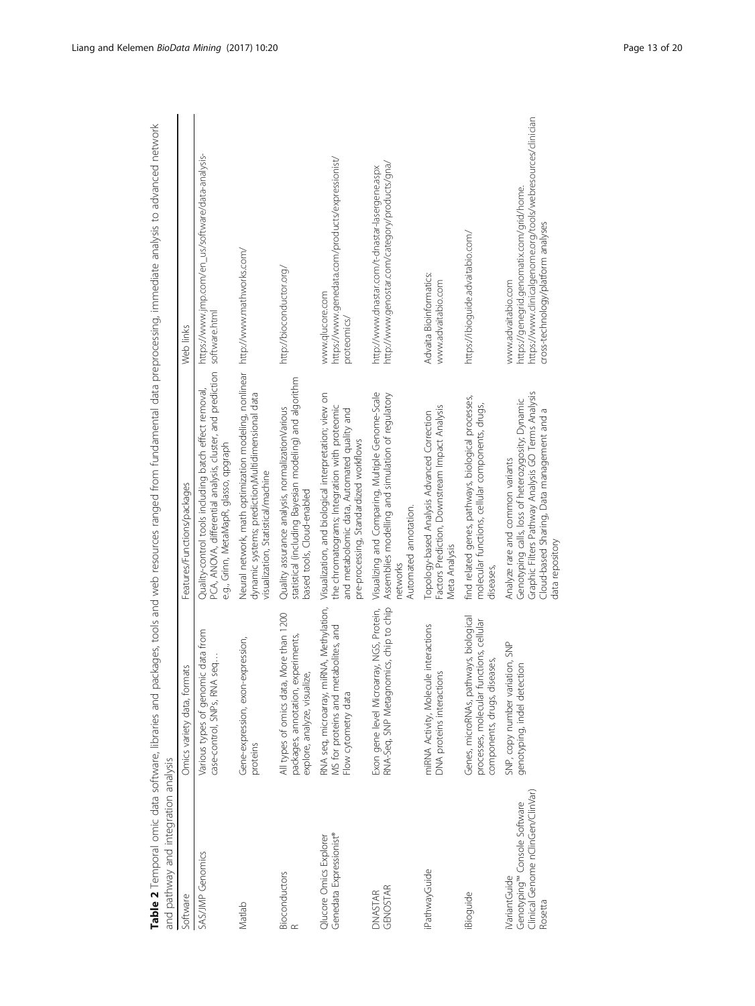<span id="page-12-0"></span>

| and pathway and integration analysis                                                                            |                                                                                                                    |                                                                                                                                                                                                              | Table 2 Temporal omic data software, libraries and packages, tools and web resources ranged from fundamental data preprocessing, immediate analysis to advanced network |
|-----------------------------------------------------------------------------------------------------------------|--------------------------------------------------------------------------------------------------------------------|--------------------------------------------------------------------------------------------------------------------------------------------------------------------------------------------------------------|-------------------------------------------------------------------------------------------------------------------------------------------------------------------------|
| Software                                                                                                        | Omics variety data, formats                                                                                        | Features/Functions/packages                                                                                                                                                                                  | Web links                                                                                                                                                               |
| SAS/JMP Genomics                                                                                                | Various types of genomic data from<br>seq<br>case-control, SNP <sub>5</sub> , RNA                                  | PCA, ANOVA, differential analysis, cluster, and prediction<br>Quality-control tools including batch effect removal,<br>e.g., Grinn, MetaMapR, glasso, qpgraph                                                | https://www.jmp.com/en_us/software/data-analysis-<br>software.html                                                                                                      |
| Matlab                                                                                                          | Gene-expression, exon-expression,<br>proteins                                                                      | Neural network, math optimization modeling, nonlinear<br>dynamic systems; prediction, Multidimensional data<br>visualization, Statistical/machine                                                            | http://www.mathworks.com/                                                                                                                                               |
| Bioconductors<br>R                                                                                              | More than 1200<br>packages, annotation, experiments,<br>explore, analyze, visualize,<br>All types of omics data,   | statistical (including Bayesian modeling) and algorithm<br>Quality assurance analysis, normalizationVarious<br>based tools, Cloud-enabled                                                                    | http://bioconductor.org/                                                                                                                                                |
| Genedata Expressionist®<br>Qlucore Omics Explorer                                                               | RNA seq, microarray, miRNA, Methylation,<br>MS for proteins and metabolites, and<br>Flow cytometry data            | Visualization, and biological interpretation; view on<br>the chromatograms; Integration with proteomic<br>and metabolomic data, Automated quality and<br>pre-processing, Standardized workflows              | https://www.genedata.com/products/expressionist/<br>www.glucore.com<br>proteomics/                                                                                      |
| GENOSTAR<br>DNASTAR                                                                                             | RNA-Seq, SNP Metagnomics, chip to chip<br>Exon gene level Microarray, NGS, Protein,                                | Visualizing and Comparing, Multiple Genome-Scale<br>Assemblies modelling and simulation of regulatory<br>Automated annotation.<br>networks                                                                   | http://www.genostar.com/category/products/gna/<br>http://www.dnastar.com/t-dnastar-lasergene.aspx                                                                       |
| iPathwayGuide                                                                                                   | miRNA Activity, Molecule interactions<br>DNA proteins interactions                                                 | Factors Prediction, Downstream Impact Analysis<br>Topology-based Analysis Advanced Correction<br>Meta Analysis                                                                                               | Advaita Bioinformatics:<br>www.advaitabio.com                                                                                                                           |
| iBioquide                                                                                                       | Genes, microRNAs, pathways, biological<br>processes, molecular functions, cellular<br>components, drugs, diseases, | find related genes, pathways, biological processes,<br>molecular functions, cellular components, drugs,<br>diseases,                                                                                         | https://ibioguide.advaitabio.com/                                                                                                                                       |
| Clinical Genome nClinGen/ClinVar)<br>Genotyping <sup>™</sup> Console Software<br><b>NariantGuide</b><br>Rosetta | SNP, copy number variation, SNP<br>genotyping, indel detection                                                     | Graphic Filters Pathway Analysis GO Terms Analysis<br>Genotyping calls, loss of heterozygosity; Dynamic<br>Cloud-based Sharing, Data management and a<br>Analyze rare and common variants<br>data repository | https://www.clinicalgenome.org/tools/webresources/clinician<br>https://genegrid.genomatix.com/grid/home.<br>cross-technology/platform analyses<br>www.advaitabio.com    |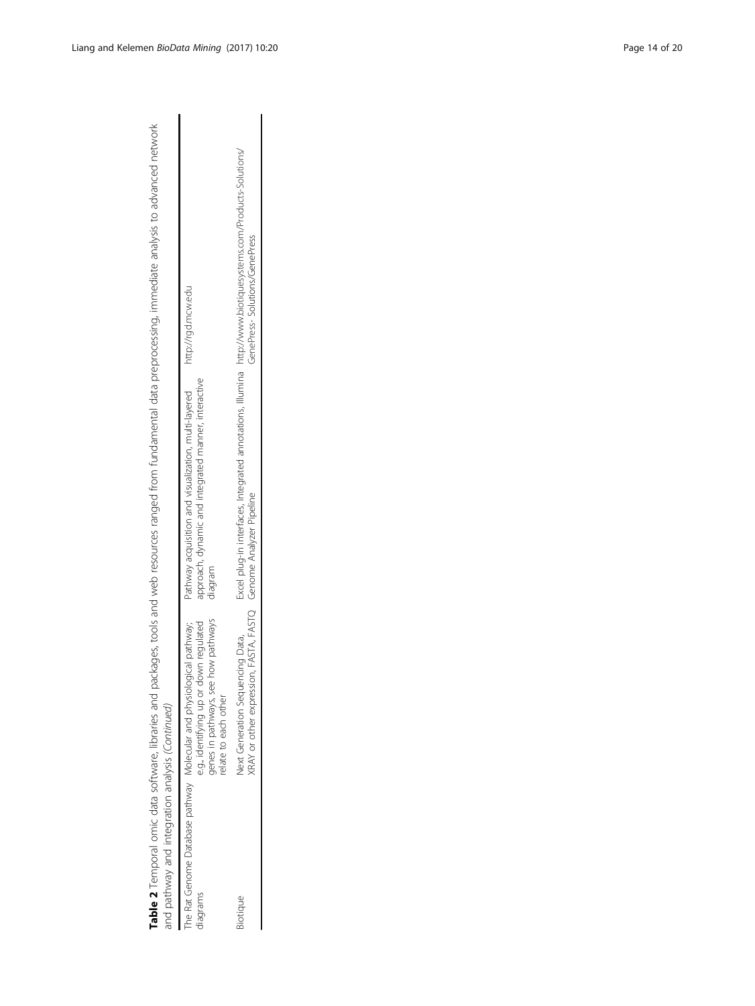| ī                                                                                                                            |                                                                                                                                                                                            |
|------------------------------------------------------------------------------------------------------------------------------|--------------------------------------------------------------------------------------------------------------------------------------------------------------------------------------------|
|                                                                                                                              |                                                                                                                                                                                            |
| ו<br>נ<br>;<br>;<br>;                                                                                                        |                                                                                                                                                                                            |
|                                                                                                                              |                                                                                                                                                                                            |
| てくり                                                                                                                          |                                                                                                                                                                                            |
| j                                                                                                                            |                                                                                                                                                                                            |
| .<br>1<br>1                                                                                                                  |                                                                                                                                                                                            |
|                                                                                                                              |                                                                                                                                                                                            |
| ١                                                                                                                            |                                                                                                                                                                                            |
| )<br>)<br>)<br>.<br>.<br>.<br>.<br>.                                                                                         |                                                                                                                                                                                            |
| $\frac{1}{2}$                                                                                                                |                                                                                                                                                                                            |
| <b>See 55</b><br>5                                                                                                           |                                                                                                                                                                                            |
|                                                                                                                              |                                                                                                                                                                                            |
|                                                                                                                              |                                                                                                                                                                                            |
|                                                                                                                              |                                                                                                                                                                                            |
| l                                                                                                                            |                                                                                                                                                                                            |
| j                                                                                                                            |                                                                                                                                                                                            |
| יצרתר צמחת<br>D. 2020. 2020. 2020. 2020. 2020. 2020. 2020. 2020. 2020. 2020. 2020. 2020. 2020. 2020. 2020. 2020. 2020. 2020. |                                                                                                                                                                                            |
|                                                                                                                              |                                                                                                                                                                                            |
| י המא מאו<br>)<br>)                                                                                                          |                                                                                                                                                                                            |
| くらい                                                                                                                          |                                                                                                                                                                                            |
|                                                                                                                              |                                                                                                                                                                                            |
| )<br>)<br>D<br>١<br>i                                                                                                        |                                                                                                                                                                                            |
| j<br>i<br>į<br>ì                                                                                                             |                                                                                                                                                                                            |
| )<br>!<br>!                                                                                                                  | 5                                                                                                                                                                                          |
| l<br>֖֖֖֖֖֪ׅ֪ׅ֪ׅ֪ׅ֪֪ׅ֪֪֪ׅ֪֪֪ׅ֪֪֪ׅ֚֚֚֚֚֚֚֚֚֚֚֚֚֚֚֚֬֝֝֝֝֝֝֓֓֓֞֬֓֞֬                                                             | j                                                                                                                                                                                          |
| is an indicated and<br>J<br>١                                                                                                | ί<br>$\overline{ }$<br>$\frac{1}{2}$                                                                                                                                                       |
|                                                                                                                              | :                                                                                                                                                                                          |
| $\blacksquare$<br>うりりり                                                                                                       |                                                                                                                                                                                            |
|                                                                                                                              | しょくすく りょくこう<br>j<br>֧֧֧֧֧֧֧֧֧֧֧֧֧֧֧֧֧֧֧֧֧֚֚֚֚֚֚֚֚֚֚֚֝֝֓֓֓֕֓֓֓֝֓֬֝֓֓֝֬֝֓֝֬֝֓֝֓֝֬֝֓֓֝֬֝֓֓֝֓֝֬֝֬֝֓֝֬֝֬֝֬֝֬֝֓֝֬֝֬֝֬֝֬֝֬֝֬֝<br>֧֧֧֧֧֧֧֖֧֧֧֧֧֧֧֧֧֧֧֛֛֛֛֚֚֚֚֚֚֚֝֝֝֝֬֝֬֝֬֝֝֬֝֬֝֬֝֬֝֬֝֬֝֬֝֬֝֬֝֬֝֝֝֝ |
| Ì<br>i                                                                                                                       | ;<br>;                                                                                                                                                                                     |
| UNDON S                                                                                                                      | $\ddot{\phantom{a}}$                                                                                                                                                                       |
| ֧֩֩֩׆                                                                                                                        | i                                                                                                                                                                                          |
|                                                                                                                              | a is all in a diff<br>١                                                                                                                                                                    |

| agrams  | jenes in pathways, see how pathways<br>The Rat Genome Database pathway Molecular and physiological pathway;<br>e.g., identifying up or down regulated<br>₫<br>elate to each oth | approach, dynamic and integrated manner, interactive<br>Pathway acquisition and visualization, multi-layered<br>magram | ittp://rgd.mcw.edu            |
|---------|---------------------------------------------------------------------------------------------------------------------------------------------------------------------------------|------------------------------------------------------------------------------------------------------------------------|-------------------------------|
| iotique | KRAY or other expression, FASTA, FASTQ Genome Analyzer Pipeline<br>Next Generation Sequencing Data,                                                                             | Excel plug-in interfaces, Integrated annotations, Illumina http://www.biotiquesystems.com/Products-Solutions/          | GenePress-Solutions/GenePress |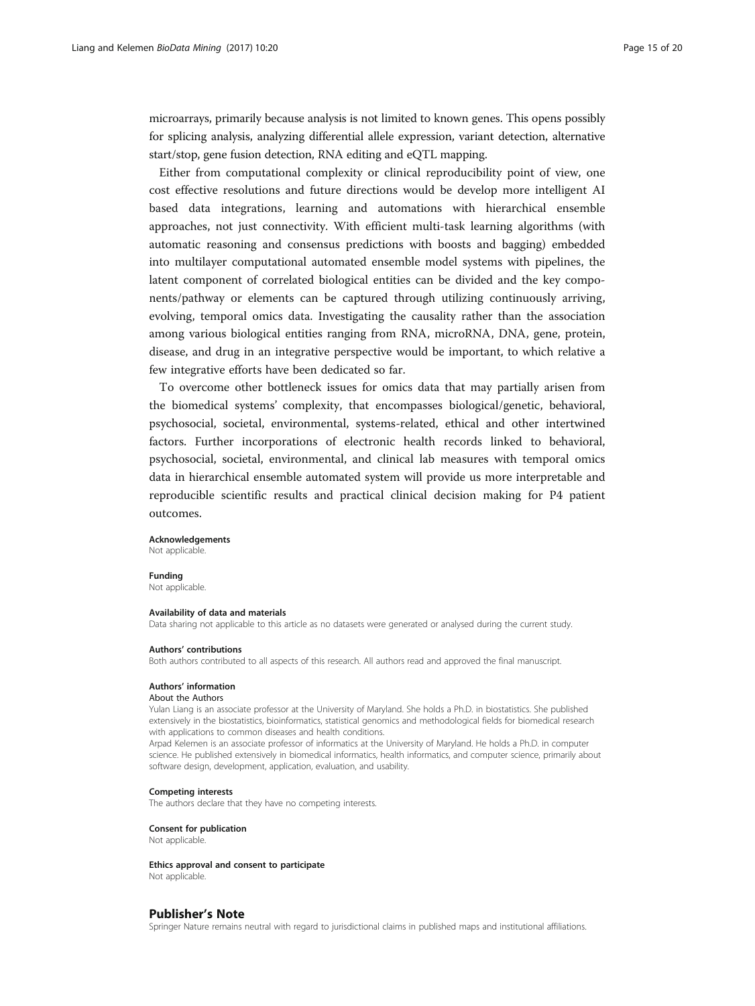microarrays, primarily because analysis is not limited to known genes. This opens possibly for splicing analysis, analyzing differential allele expression, variant detection, alternative start/stop, gene fusion detection, RNA editing and eQTL mapping.

Either from computational complexity or clinical reproducibility point of view, one cost effective resolutions and future directions would be develop more intelligent AI based data integrations, learning and automations with hierarchical ensemble approaches, not just connectivity. With efficient multi-task learning algorithms (with automatic reasoning and consensus predictions with boosts and bagging) embedded into multilayer computational automated ensemble model systems with pipelines, the latent component of correlated biological entities can be divided and the key components/pathway or elements can be captured through utilizing continuously arriving, evolving, temporal omics data. Investigating the causality rather than the association among various biological entities ranging from RNA, microRNA, DNA, gene, protein, disease, and drug in an integrative perspective would be important, to which relative a few integrative efforts have been dedicated so far.

To overcome other bottleneck issues for omics data that may partially arisen from the biomedical systems' complexity, that encompasses biological/genetic, behavioral, psychosocial, societal, environmental, systems-related, ethical and other intertwined factors. Further incorporations of electronic health records linked to behavioral, psychosocial, societal, environmental, and clinical lab measures with temporal omics data in hierarchical ensemble automated system will provide us more interpretable and reproducible scientific results and practical clinical decision making for P4 patient outcomes.

#### Acknowledgements

Not applicable.

Funding Not applicable.

#### Availability of data and materials

Data sharing not applicable to this article as no datasets were generated or analysed during the current study.

#### Authors' contributions

Both authors contributed to all aspects of this research. All authors read and approved the final manuscript.

#### Authors' information

## About the Authors

Yulan Liang is an associate professor at the University of Maryland. She holds a Ph.D. in biostatistics. She published extensively in the biostatistics, bioinformatics, statistical genomics and methodological fields for biomedical research with applications to common diseases and health conditions.

Arpad Kelemen is an associate professor of informatics at the University of Maryland. He holds a Ph.D. in computer science. He published extensively in biomedical informatics, health informatics, and computer science, primarily about software design, development, application, evaluation, and usability.

#### Competing interests

The authors declare that they have no competing interests.

Consent for publication

Not applicable.

Ethics approval and consent to participate Not applicable.

#### Publisher's Note

Springer Nature remains neutral with regard to jurisdictional claims in published maps and institutional affiliations.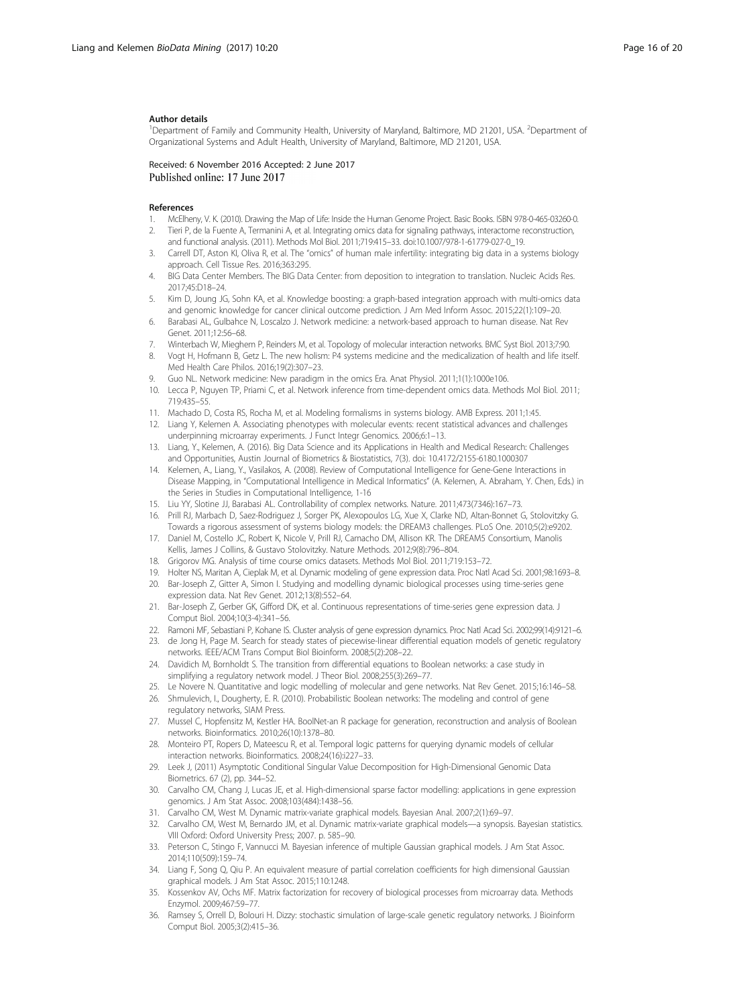#### <span id="page-15-0"></span>Author details

<sup>1</sup>Department of Family and Community Health, University of Maryland, Baltimore, MD 21201, USA. <sup>2</sup>Department of Organizational Systems and Adult Health, University of Maryland, Baltimore, MD 21201, USA.

Received: 6 November 2016 Accepted: 2 June 2017 Published online: 17 June 2017

#### References

- 1. McElheny, V. K. (2010). Drawing the Map of Life: Inside the Human Genome Project. Basic Books. ISBN 978-0-465-03260-0. 2. Tieri P, de la Fuente A, Termanini A, et al. Integrating omics data for signaling pathways, interactome reconstruction,
- and functional analysis. (2011). Methods Mol Biol. 2011;719:415–33. doi:10.1007/978-1-61779-027-0\_19.
- 3. Carrell DT, Aston KI, Oliva R, et al. The "omics" of human male infertility: integrating big data in a systems biology approach. Cell Tissue Res. 2016;363:295.
- 4. BIG Data Center Members. The BIG Data Center: from deposition to integration to translation. Nucleic Acids Res. 2017;45:D18–24.
- 5. Kim D, Joung JG, Sohn KA, et al. Knowledge boosting: a graph-based integration approach with multi-omics data and genomic knowledge for cancer clinical outcome prediction. J Am Med Inform Assoc. 2015;22(1):109–20.
- 6. Barabasi AL, Gulbahce N, Loscalzo J. Network medicine: a network-based approach to human disease. Nat Rev Genet. 2011;12:56–68.
- 7. Winterbach W, Mieghem P, Reinders M, et al. Topology of molecular interaction networks. BMC Syst Biol. 2013;7:90.
- 8. Vogt H, Hofmann B, Getz L. The new holism: P4 systems medicine and the medicalization of health and life itself. Med Health Care Philos. 2016;19(2):307–23.
- Guo NL. Network medicine: New paradigm in the omics Era. Anat Physiol. 2011;1(1):1000e106.
- 10. Lecca P, Nguyen TP, Priami C, et al. Network inference from time-dependent omics data. Methods Mol Biol. 2011; 719:435–55.
- 11. Machado D, Costa RS, Rocha M, et al. Modeling formalisms in systems biology. AMB Express. 2011;1:45.
- 12. Liang Y, Kelemen A. Associating phenotypes with molecular events: recent statistical advances and challenges underpinning microarray experiments. J Funct Integr Genomics. 2006;6:1–13.
- 13. Liang, Y., Kelemen, A. (2016). Big Data Science and its Applications in Health and Medical Research: Challenges and Opportunities, Austin Journal of Biometrics & Biostatistics, 7(3). doi: 10.4172/2155-6180.1000307
- 14. Kelemen, A., Liang, Y., Vasilakos, A. (2008). Review of Computational Intelligence for Gene-Gene Interactions in Disease Mapping, in "Computational Intelligence in Medical Informatics" (A. Kelemen, A. Abraham, Y. Chen, Eds.) in the Series in Studies in Computational Intelligence, 1-16
- 15. Liu YY, Slotine JJ, Barabasi AL. Controllability of complex networks. Nature. 2011;473(7346):167–73.
- 16. Prill RJ, Marbach D, Saez-Rodriguez J, Sorger PK, Alexopoulos LG, Xue X, Clarke ND, Altan-Bonnet G, Stolovitzky G. Towards a rigorous assessment of systems biology models: the DREAM3 challenges. PLoS One. 2010;5(2):e9202.
- 17. Daniel M, Costello JC, Robert K, Nicole V, Prill RJ, Camacho DM, Allison KR. The DREAM5 Consortium, Manolis Kellis, James J Collins, & Gustavo Stolovitzky. Nature Methods. 2012;9(8):796–804.
- 18. Grigorov MG. Analysis of time course omics datasets. Methods Mol Biol. 2011;719:153–72.
- 19. Holter NS, Maritan A, Cieplak M, et al. Dynamic modeling of gene expression data. Proc Natl Acad Sci. 2001;98:1693–8. 20. Bar-Joseph Z, Gitter A, Simon I. Studying and modelling dynamic biological processes using time-series gene expression data. Nat Rev Genet. 2012;13(8):552–64.
- 21. Bar-Joseph Z, Gerber GK, Gifford DK, et al. Continuous representations of time-series gene expression data. J Comput Biol. 2004;10(3-4):341–56.
- 22. Ramoni MF, Sebastiani P, Kohane IS. Cluster analysis of gene expression dynamics. Proc Natl Acad Sci. 2002;99(14):9121–6.
- 23. de Jong H, Page M. Search for steady states of piecewise-linear differential equation models of genetic regulatory networks. IEEE/ACM Trans Comput Biol Bioinform. 2008;5(2):208–22.
- 24. Davidich M, Bornholdt S. The transition from differential equations to Boolean networks: a case study in simplifying a regulatory network model. J Theor Biol. 2008;255(3):269–77.
- 25. Le Novere N. Quantitative and logic modelling of molecular and gene networks. Nat Rev Genet. 2015;16:146–58.
- 26. Shmulevich, I., Dougherty, E. R. (2010). Probabilistic Boolean networks: The modeling and control of gene regulatory networks, SIAM Press.
- 27. Mussel C, Hopfensitz M, Kestler HA. BoolNet-an R package for generation, reconstruction and analysis of Boolean networks. Bioinformatics. 2010;26(10):1378–80.
- 28. Monteiro PT, Ropers D, Mateescu R, et al. Temporal logic patterns for querying dynamic models of cellular interaction networks. Bioinformatics. 2008;24(16):i227–33.
- 29. Leek J, (2011) Asymptotic Conditional Singular Value Decomposition for High-Dimensional Genomic Data Biometrics. 67 (2), pp. 344–52.
- 30. Carvalho CM, Chang J, Lucas JE, et al. High-dimensional sparse factor modelling: applications in gene expression genomics. J Am Stat Assoc. 2008;103(484):1438–56.
- 31. Carvalho CM, West M. Dynamic matrix-variate graphical models. Bayesian Anal. 2007;2(1):69–97.
- 32. Carvalho CM, West M, Bernardo JM, et al. Dynamic matrix-variate graphical models—a synopsis. Bayesian statistics. VIII Oxford: Oxford University Press; 2007. p. 585–90.
- 33. Peterson C, Stingo F, Vannucci M. Bayesian inference of multiple Gaussian graphical models. J Am Stat Assoc. 2014;110(509):159–74.
- 34. Liang F, Song Q, Qiu P. An equivalent measure of partial correlation coefficients for high dimensional Gaussian graphical models. J Am Stat Assoc. 2015;110:1248.
- 35. Kossenkov AV, Ochs MF. Matrix factorization for recovery of biological processes from microarray data. Methods Enzymol. 2009;467:59–77.
- 36. Ramsey S, Orrell D, Bolouri H. Dizzy: stochastic simulation of large-scale genetic regulatory networks. J Bioinform Comput Biol. 2005;3(2):415–36.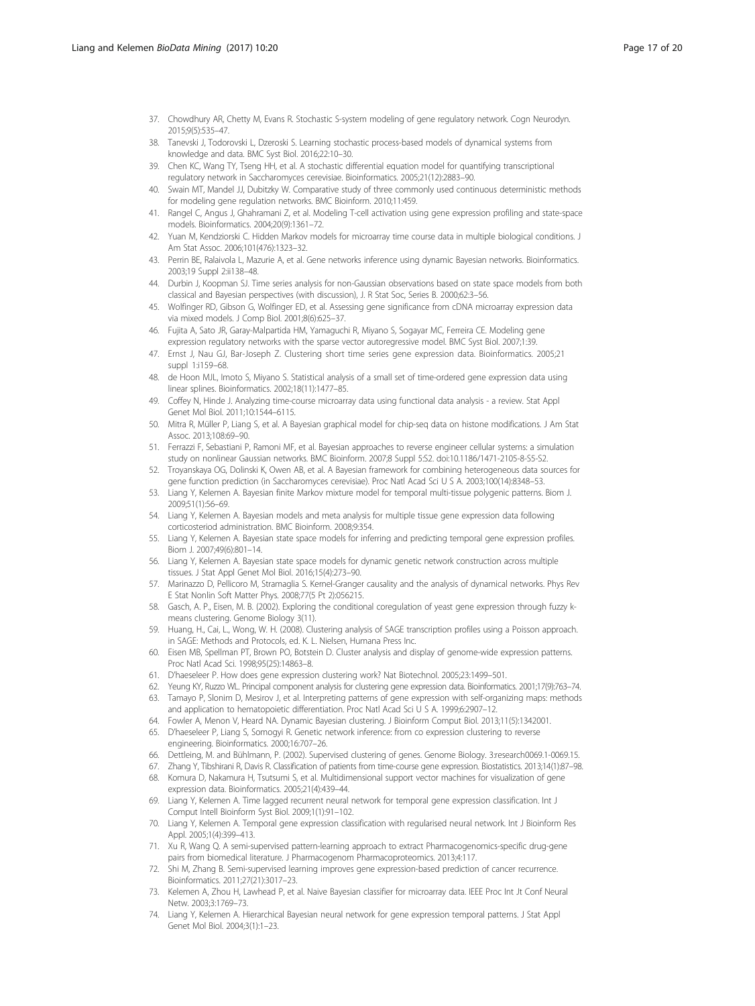- <span id="page-16-0"></span>37. Chowdhury AR, Chetty M, Evans R. Stochastic S-system modeling of gene regulatory network. Cogn Neurodyn. 2015;9(5):535–47.
- 38. Tanevski J, Todorovski L, Dzeroski S. Learning stochastic process-based models of dynamical systems from knowledge and data. BMC Syst Biol. 2016;22:10–30.
- 39. Chen KC, Wang TY, Tseng HH, et al. A stochastic differential equation model for quantifying transcriptional regulatory network in Saccharomyces cerevisiae. Bioinformatics. 2005;21(12):2883–90.
- 40. Swain MT, Mandel JJ, Dubitzky W. Comparative study of three commonly used continuous deterministic methods for modeling gene regulation networks. BMC Bioinform. 2010;11:459.
- 41. Rangel C, Angus J, Ghahramani Z, et al. Modeling T-cell activation using gene expression profiling and state-space models. Bioinformatics. 2004;20(9):1361–72.
- 42. Yuan M, Kendziorski C. Hidden Markov models for microarray time course data in multiple biological conditions. J Am Stat Assoc. 2006;101(476):1323–32.
- 43. Perrin BE, Ralaivola L, Mazurie A, et al. Gene networks inference using dynamic Bayesian networks. Bioinformatics. 2003;19 Suppl 2:ii138–48.
- 44. Durbin J, Koopman SJ. Time series analysis for non-Gaussian observations based on state space models from both classical and Bayesian perspectives (with discussion), J. R Stat Soc, Series B. 2000;62:3–56.
- 45. Wolfinger RD, Gibson G, Wolfinger ED, et al. Assessing gene significance from cDNA microarray expression data via mixed models. J Comp Biol. 2001;8(6):625–37.
- 46. Fujita A, Sato JR, Garay-Malpartida HM, Yamaguchi R, Miyano S, Sogayar MC, Ferreira CE. Modeling gene expression regulatory networks with the sparse vector autoregressive model. BMC Syst Biol. 2007;1:39.
- 47. Ernst J, Nau GJ, Bar-Joseph Z. Clustering short time series gene expression data. Bioinformatics. 2005;21 suppl 1:i159–68.
- 48. de Hoon MJL, Imoto S, Miyano S. Statistical analysis of a small set of time-ordered gene expression data using linear splines. Bioinformatics. 2002;18(11):1477–85.
- 49. Coffey N, Hinde J. Analyzing time-course microarray data using functional data analysis a review. Stat Appl Genet Mol Biol. 2011;10:1544–6115.
- 50. Mitra R, Müller P, Liang S, et al. A Bayesian graphical model for chip-seq data on histone modifications. J Am Stat Assoc. 2013;108:69–90.
- 51. Ferrazzi F, Sebastiani P, Ramoni MF, et al. Bayesian approaches to reverse engineer cellular systems: a simulation study on nonlinear Gaussian networks. BMC Bioinform. 2007;8 Suppl 5:S2. doi:10.1186/1471-2105-8-S5-S2.
- 52. Troyanskaya OG, Dolinski K, Owen AB, et al. A Bayesian framework for combining heterogeneous data sources for gene function prediction (in Saccharomyces cerevisiae). Proc Natl Acad Sci U S A. 2003;100(14):8348–53.
- 53. Liang Y, Kelemen A. Bayesian finite Markov mixture model for temporal multi-tissue polygenic patterns. Biom J. 2009;51(1):56–69.
- 54. Liang Y, Kelemen A. Bayesian models and meta analysis for multiple tissue gene expression data following corticosteriod administration. BMC Bioinform. 2008;9:354.
- 55. Liang Y, Kelemen A. Bayesian state space models for inferring and predicting temporal gene expression profiles. Biom J. 2007;49(6):801–14.
- 56. Liang Y, Kelemen A. Bayesian state space models for dynamic genetic network construction across multiple tissues. J Stat Appl Genet Mol Biol. 2016;15(4):273–90.
- 57. Marinazzo D, Pellicoro M, Stramaglia S. Kernel-Granger causality and the analysis of dynamical networks. Phys Rev E Stat Nonlin Soft Matter Phys. 2008;77(5 Pt 2):056215.
- 58. Gasch, A. P., Eisen, M. B. (2002). Exploring the conditional coregulation of yeast gene expression through fuzzy kmeans clustering. Genome Biology 3(11).
- 59. Huang, H., Cai, L., Wong, W. H. (2008). Clustering analysis of SAGE transcription profiles using a Poisson approach. in SAGE: Methods and Protocols, ed. K. L. Nielsen, Humana Press Inc.
- 60. Eisen MB, Spellman PT, Brown PO, Botstein D. Cluster analysis and display of genome-wide expression patterns. Proc Natl Acad Sci. 1998;95(25):14863–8.
- 61. D'haeseleer P. How does gene expression clustering work? Nat Biotechnol. 2005;23:1499–501.
- 62. Yeung KY, Ruzzo WL. Principal component analysis for clustering gene expression data. Bioinformatics. 2001;17(9):763–74. 63. Tamayo P, Slonim D, Mesirov J, et al. Interpreting patterns of gene expression with self-organizing maps: methods
- and application to hematopoietic differentiation. Proc Natl Acad Sci U S A. 1999;6:2907–12. 64. Fowler A, Menon V, Heard NA. Dynamic Bayesian clustering. J Bioinform Comput Biol. 2013;11(5):1342001.
- 65. D'haeseleer P, Liang S, Somogyi R. Genetic network inference: from co expression clustering to reverse
- engineering. Bioinformatics. 2000;16:707–26.
- 66. Dettleing, M. and Bühlmann, P. (2002). Supervised clustering of genes. Genome Biology. 3:research0069.1-0069.15.
- 67. Zhang Y, Tibshirani R, Davis R. Classification of patients from time-course gene expression. Biostatistics. 2013;14(1):87–98. 68. Komura D, Nakamura H, Tsutsumi S, et al. Multidimensional support vector machines for visualization of gene
- expression data. Bioinformatics. 2005;21(4):439–44. 69. Liang Y, Kelemen A. Time lagged recurrent neural network for temporal gene expression classification. Int J
- Comput Intell Bioinform Syst Biol. 2009;1(1):91–102. 70. Liang Y, Kelemen A. Temporal gene expression classification with regularised neural network. Int J Bioinform Res
- Appl. 2005;1(4):399–413.
- 71. Xu R, Wang Q. A semi-supervised pattern-learning approach to extract Pharmacogenomics-specific drug-gene pairs from biomedical literature. J Pharmacogenom Pharmacoproteomics. 2013;4:117.
- 72. Shi M, Zhang B. Semi-supervised learning improves gene expression-based prediction of cancer recurrence. Bioinformatics. 2011;27(21):3017–23.
- 73. Kelemen A, Zhou H, Lawhead P, et al. Naive Bayesian classifier for microarray data. IEEE Proc Int Jt Conf Neural Netw. 2003;3:1769–73.
- 74. Liang Y, Kelemen A. Hierarchical Bayesian neural network for gene expression temporal patterns. J Stat Appl Genet Mol Biol. 2004;3(1):1–23.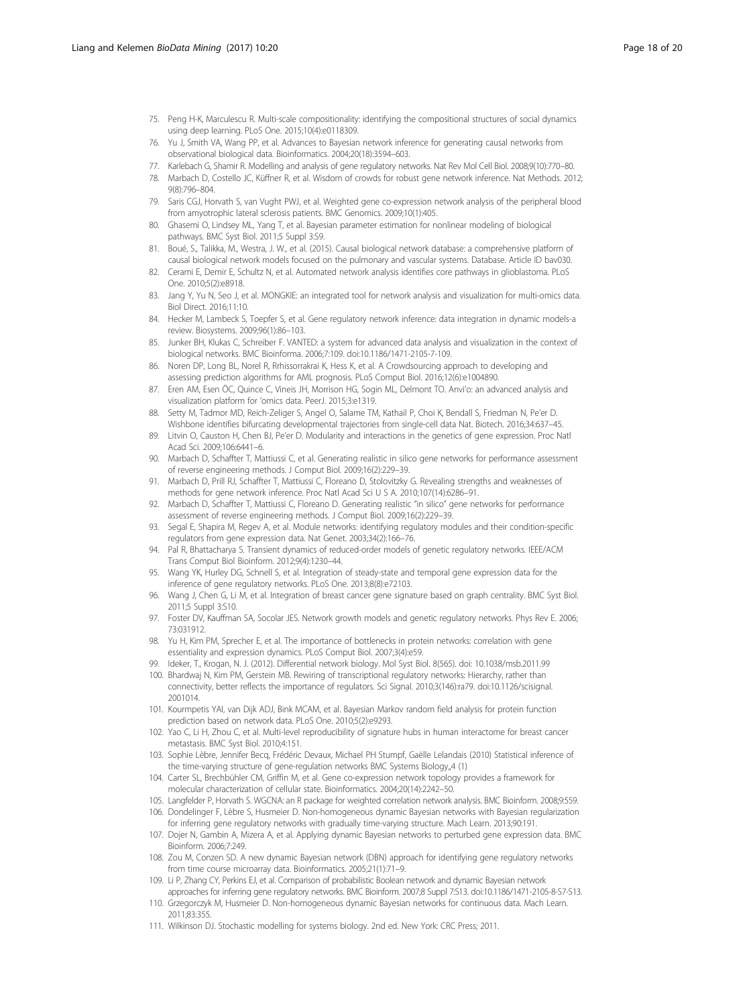- <span id="page-17-0"></span>75. Peng H-K, Marculescu R. Multi-scale compositionality: identifying the compositional structures of social dynamics using deep learning. PLoS One. 2015;10(4):e0118309.
- 76. Yu J, Smith VA, Wang PP, et al. Advances to Bayesian network inference for generating causal networks from observational biological data. Bioinformatics. 2004;20(18):3594–603.
- 77. Karlebach G, Shamir R. Modelling and analysis of gene regulatory networks. Nat Rev Mol Cell Biol. 2008;9(10):770–80.
- 78. Marbach D, Costello JC, Küffner R, et al. Wisdom of crowds for robust gene network inference. Nat Methods. 2012; 9(8):796–804.
- 79. Saris CGJ, Horvath S, van Vught PWJ, et al. Weighted gene co-expression network analysis of the peripheral blood from amyotrophic lateral sclerosis patients. BMC Genomics. 2009;10(1):405.
- 80. Ghasemi O, Lindsey ML, Yang T, et al. Bayesian parameter estimation for nonlinear modeling of biological pathways. BMC Syst Biol. 2011;5 Suppl 3:S9.
- 81. Boué, S., Talikka, M., Westra, J. W., et al. (2015). Causal biological network database: a comprehensive platform of causal biological network models focused on the pulmonary and vascular systems. Database. Article ID bav030.
- 82. Cerami E, Demir E, Schultz N, et al. Automated network analysis identifies core pathways in glioblastoma. PLoS One. 2010;5(2):e8918.
- 83. Jang Y, Yu N, Seo J, et al. MONGKIE: an integrated tool for network analysis and visualization for multi-omics data. Biol Direct. 2016;11:10.
- 84. Hecker M, Lambeck S, Toepfer S, et al. Gene regulatory network inference: data integration in dynamic models-a review. Biosystems. 2009;96(1):86–103.
- 85. Junker BH, Klukas C, Schreiber F. VANTED: a system for advanced data analysis and visualization in the context of biological networks. BMC Bioinforma. 2006;7:109. doi:10.1186/1471-2105-7-109.
- 86. Noren DP, Long BL, Norel R, Rrhissorrakrai K, Hess K, et al. A Crowdsourcing approach to developing and assessing prediction algorithms for AML prognosis. PLoS Comput Biol. 2016;12(6):e1004890.
- 87. Eren AM, Esen ÖC, Quince C, Vineis JH, Morrison HG, Sogin ML, Delmont TO. Anvi'o: an advanced analysis and visualization platform for 'omics data. PeerJ. 2015;3:e1319.
- 88. Setty M, Tadmor MD, Reich-Zeliger S, Angel O, Salame TM, Kathail P, Choi K, Bendall S, Friedman N, Pe'er D. Wishbone identifies bifurcating developmental trajectories from single-cell data Nat. Biotech. 2016;34:637–45.
- 89. Litvin O, Causton H, Chen BJ, Pe'er D. Modularity and interactions in the genetics of gene expression. Proc Natl Acad Sci. 2009;106:6441–6.
- 90. Marbach D, Schaffter T, Mattiussi C, et al. Generating realistic in silico gene networks for performance assessment of reverse engineering methods. J Comput Biol. 2009;16(2):229–39.
- 91. Marbach D, Prill RJ, Schaffter T, Mattiussi C, Floreano D, Stolovitzky G. Revealing strengths and weaknesses of methods for gene network inference. Proc Natl Acad Sci U S A. 2010;107(14):6286–91.
- 92. Marbach D, Schaffter T, Mattiussi C, Floreano D. Generating realistic "in silico" gene networks for performance assessment of reverse engineering methods. J Comput Biol. 2009;16(2):229–39.
- 93. Segal E, Shapira M, Regev A, et al. Module networks: identifying regulatory modules and their condition-specific regulators from gene expression data. Nat Genet. 2003;34(2):166–76.
- 94. Pal R, Bhattacharya S. Transient dynamics of reduced-order models of genetic regulatory networks. IEEE/ACM Trans Comput Biol Bioinform. 2012;9(4):1230–44.
- 95. Wang YK, Hurley DG, Schnell S, et al. Integration of steady-state and temporal gene expression data for the inference of gene regulatory networks. PLoS One. 2013;8(8):e72103.
- 96. Wang J, Chen G, Li M, et al. Integration of breast cancer gene signature based on graph centrality. BMC Syst Biol. 2011;5 Suppl 3:S10.
- 97. Foster DV, Kauffman SA, Socolar JES. Network growth models and genetic regulatory networks. Phys Rev E. 2006; 73:031912.
- 98. Yu H, Kim PM, Sprecher E, et al. The importance of bottlenecks in protein networks: correlation with gene essentiality and expression dynamics. PLoS Comput Biol. 2007;3(4):e59.
- 99. Ideker, T., Krogan, N. J. (2012). Differential network biology. Mol Syst Biol. 8(565). doi: 10.1038/msb.2011.99
- 100. Bhardwaj N, Kim PM, Gerstein MB. Rewiring of transcriptional regulatory networks: Hierarchy, rather than connectivity, better reflects the importance of regulators. Sci Signal. 2010;3(146):ra79. doi:10.1126/scisignal. 2001014.
- 101. Kourmpetis YAI, van Dijk ADJ, Bink MCAM, et al. Bayesian Markov random field analysis for protein function prediction based on network data. PLoS One. 2010;5(2):e9293.
- 102. Yao C, Li H, Zhou C, et al. Multi-level reproducibility of signature hubs in human interactome for breast cancer metastasis. BMC Syst Biol. 2010;4:151.
- 103. Sophie Lèbre, Jennifer Becq, Frédéric Devaux, Michael PH Stumpf, Gaëlle Lelandais (2010) Statistical inference of the time-varying structure of gene-regulation networks BMC Systems Biology,,4 (1)
- 104. Carter SL, Brechbühler CM, Griffin M, et al. Gene co-expression network topology provides a framework for molecular characterization of cellular state. Bioinformatics. 2004;20(14):2242–50.
- 105. Langfelder P, Horvath S. WGCNA: an R package for weighted correlation network analysis. BMC Bioinform. 2008;9:559.
- 106. Dondelinger F, Lèbre S, Husmeier D. Non-homogeneous dynamic Bayesian networks with Bayesian regularization for inferring gene regulatory networks with gradually time-varying structure. Mach Learn. 2013;90:191.
- 107. Dojer N, Gambin A, Mizera A, et al. Applying dynamic Bayesian networks to perturbed gene expression data. BMC Bioinform. 2006;7:249.
- 108. Zou M, Conzen SD. A new dynamic Bayesian network (DBN) approach for identifying gene regulatory networks from time course microarray data. Bioinformatics. 2005;21(1):71–9.
- 109. Li P, Zhang CY, Perkins EJ, et al. Comparison of probabilistic Boolean network and dynamic Bayesian network approaches for inferring gene regulatory networks. BMC Bioinform. 2007;8 Suppl 7:S13. doi:10.1186/1471-2105-8-S7-S13.
- 110. Grzegorczyk M, Husmeier D. Non-homogeneous dynamic Bayesian networks for continuous data. Mach Learn. 2011;83:355.
- 111. Wilkinson DJ. Stochastic modelling for systems biology. 2nd ed. New York: CRC Press; 2011.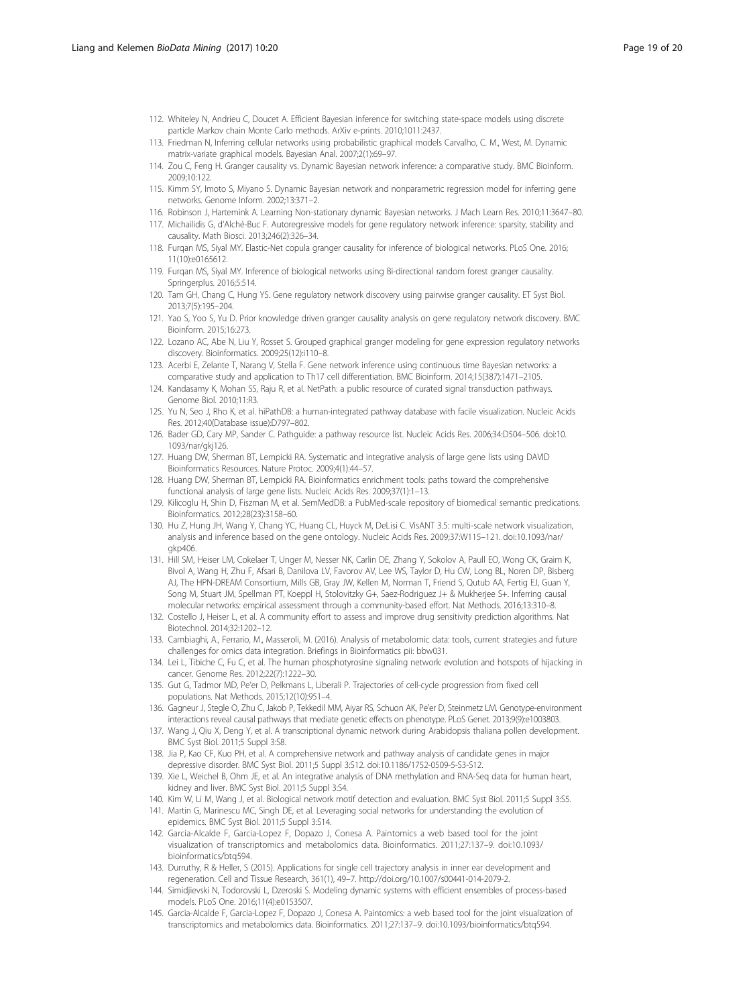- <span id="page-18-0"></span>112. Whiteley N, Andrieu C, Doucet A. Efficient Bayesian inference for switching state-space models using discrete particle Markov chain Monte Carlo methods. ArXiv e-prints. 2010;1011:2437.
- 113. Friedman N, Inferring cellular networks using probabilistic graphical models Carvalho, C. M., West, M. Dynamic matrix-variate graphical models. Bayesian Anal. 2007;2(1):69–97.
- 114. Zou C, Feng H. Granger causality vs. Dynamic Bayesian network inference: a comparative study. BMC Bioinform. 2009;10:122.
- 115. Kimm SY, Imoto S, Miyano S. Dynamic Bayesian network and nonparametric regression model for inferring gene networks. Genome Inform. 2002;13:371–2.
- 116. Robinson J, Hartemink A. Learning Non-stationary dynamic Bayesian networks. J Mach Learn Res. 2010;11:3647–80.
- 117. Michailidis G, d'Alché-Buc F. Autoregressive models for gene regulatory network inference: sparsity, stability and causality. Math Biosci. 2013;246(2):326–34.
- 118. Furqan MS, Siyal MY. Elastic-Net copula granger causality for inference of biological networks. PLoS One. 2016; 11(10):e0165612.
- 119. Furqan MS, Siyal MY. Inference of biological networks using Bi-directional random forest granger causality. Springerplus. 2016;5:514.
- 120. Tam GH, Chang C, Hung YS. Gene regulatory network discovery using pairwise granger causality. ET Syst Biol. 2013;7(5):195–204.
- 121. Yao S, Yoo S, Yu D. Prior knowledge driven granger causality analysis on gene regulatory network discovery. BMC Bioinform. 2015;16:273.
- 122. Lozano AC, Abe N, Liu Y, Rosset S. Grouped graphical granger modeling for gene expression regulatory networks discovery. Bioinformatics. 2009;25(12):i110–8.
- 123. Acerbi E, Zelante T, Narang V, Stella F. Gene network inference using continuous time Bayesian networks: a comparative study and application to Th17 cell differentiation. BMC Bioinform. 2014;15(387):1471–2105.
- 124. Kandasamy K, Mohan SS, Raju R, et al. NetPath: a public resource of curated signal transduction pathways. Genome Biol. 2010;11:R3.
- 125. Yu N, Seo J, Rho K, et al. hiPathDB: a human-integrated pathway database with facile visualization. Nucleic Acids Res. 2012;40(Database issue):D797–802.
- 126. Bader GD, Cary MP, Sander C. Pathguide: a pathway resource list. Nucleic Acids Res. 2006;34:D504–506. doi:10. 1093/nar/gkj126.
- 127. Huang DW, Sherman BT, Lempicki RA. Systematic and integrative analysis of large gene lists using DAVID Bioinformatics Resources. Nature Protoc. 2009;4(1):44–57.
- 128. Huang DW, Sherman BT, Lempicki RA. Bioinformatics enrichment tools: paths toward the comprehensive functional analysis of large gene lists. Nucleic Acids Res. 2009;37(1):1–13.
- 129. Kilicoglu H, Shin D, Fiszman M, et al. SemMedDB: a PubMed-scale repository of biomedical semantic predications. Bioinformatics. 2012;28(23):3158–60.
- 130. Hu Z, Hung JH, Wang Y, Chang YC, Huang CL, Huyck M, DeLisi C. VisANT 3.5: multi-scale network visualization, analysis and inference based on the gene ontology. Nucleic Acids Res. 2009;37:W115–121. doi:10.1093/nar/ gkp406.
- 131. Hill SM, Heiser LM, Cokelaer T, Unger M, Nesser NK, Carlin DE, Zhang Y, Sokolov A, Paull EO, Wong CK, Graim K, Bivol A, Wang H, Zhu F, Afsari B, Danilova LV, Favorov AV, Lee WS, Taylor D, Hu CW, Long BL, Noren DP, Bisberg AJ, The HPN-DREAM Consortium, Mills GB, Gray JW, Kellen M, Norman T, Friend S, Qutub AA, Fertig EJ, Guan Y, Song M, Stuart JM, Spellman PT, Koeppl H, Stolovitzky G+, Saez-Rodriguez J+ & Mukherjee S+. Inferring causal molecular networks: empirical assessment through a community-based effort. Nat Methods. 2016;13:310–8.
- 132. Costello J, Heiser L, et al. A community effort to assess and improve drug sensitivity prediction algorithms. Nat Biotechnol. 2014;32:1202–12.
- 133. Cambiaghi, A., Ferrario, M., Masseroli, M. (2016). Analysis of metabolomic data: tools, current strategies and future challenges for omics data integration. Briefings in Bioinformatics pii: bbw031.
- 134. Lei L, Tibiche C, Fu C, et al. The human phosphotyrosine signaling network: evolution and hotspots of hijacking in cancer. Genome Res. 2012;22(7):1222–30.
- 135. Gut G, Tadmor MD, Pe'er D, Pelkmans L, Liberali P. Trajectories of cell-cycle progression from fixed cell populations. Nat Methods. 2015;12(10):951–4.
- 136. Gagneur J, Stegle O, Zhu C, Jakob P, Tekkedil MM, Aiyar RS, Schuon AK, Pe'er D, Steinmetz LM. Genotype-environment interactions reveal causal pathways that mediate genetic effects on phenotype. PLoS Genet. 2013;9(9):e1003803.
- 137. Wang J, Qiu X, Deng Y, et al. A transcriptional dynamic network during Arabidopsis thaliana pollen development. BMC Syst Biol. 2011;5 Suppl 3:S8.
- 138. Jia P, Kao CF, Kuo PH, et al. A comprehensive network and pathway analysis of candidate genes in major depressive disorder. BMC Syst Biol. 2011;5 Suppl 3:S12. doi:10.1186/1752-0509-5-S3-S12.
- 139. Xie L, Weichel B, Ohm JE, et al. An integrative analysis of DNA methylation and RNA-Seq data for human heart, kidney and liver. BMC Syst Biol. 2011;5 Suppl 3:S4.
- 140. Kim W, Li M, Wang J, et al. Biological network motif detection and evaluation. BMC Syst Biol. 2011;5 Suppl 3:S5.
- 141. Martin G, Marinescu MC, Singh DE, et al. Leveraging social networks for understanding the evolution of epidemics. BMC Syst Biol. 2011;5 Suppl 3:S14.
- 142. Garcia-Alcalde F, Garcia-Lopez F, Dopazo J, Conesa A. Paintomics a web based tool for the joint visualization of transcriptomics and metabolomics data. Bioinformatics. 2011;27:137–9. doi:10.1093/ bioinformatics/btq594.
- 143. Durruthy, R & Heller, S (2015). Applications for single cell trajectory analysis in inner ear development and regeneration. Cell and Tissue Research, 361(1), 49–7.<http://doi.org/10.1007/s00441-014-2079-2>.
- 144. Simidjievski N, Todorovski L, Dzeroski S. Modeling dynamic systems with efficient ensembles of process-based models. PLoS One. 2016;11(4):e0153507.
- 145. Garcia-Alcalde F, Garcia-Lopez F, Dopazo J, Conesa A. Paintomics: a web based tool for the joint visualization of transcriptomics and metabolomics data. Bioinformatics. 2011;27:137–9. doi[:10.1093/bioinformatics/btq594.](http://dx.doi.org/10.1093/bioinformatics/btq594)